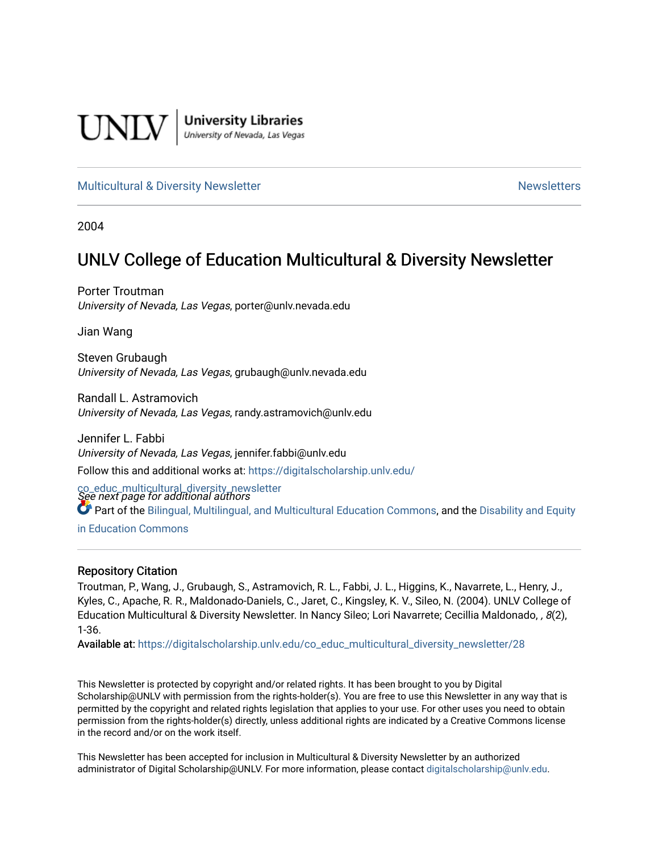

**University Libraries**<br>University of Nevada, Las Vegas

#### [Multicultural & Diversity Newsletter](https://digitalscholarship.unlv.edu/co_educ_multicultural_diversity_newsletter) Newsletter [Newsletters](https://digitalscholarship.unlv.edu/co_educ_newsletters) Newsletters

2004

## UNLV College of Education Multicultural & Diversity Newsletter

Porter Troutman University of Nevada, Las Vegas, porter@unly.nevada.edu

Jian Wang

Steven Grubaugh University of Nevada, Las Vegas, grubaugh@unlv.nevada.edu

Randall L. Astramovich University of Nevada, Las Vegas, randy.astramovich@unlv.edu

Jennifer L. Fabbi University of Nevada, Las Vegas, jennifer.fabbi@unlv.edu Follow this and additional works at: [https://digitalscholarship.unlv.edu/](https://digitalscholarship.unlv.edu/co_educ_multicultural_diversity_newsletter?utm_source=digitalscholarship.unlv.edu%2Fco_educ_multicultural_diversity_newsletter%2F28&utm_medium=PDF&utm_campaign=PDFCoverPages)

co\_educ\_multicultural\_diversity\_newsletter<br>See next page for additional authors Part of the [Bilingual, Multilingual, and Multicultural Education Commons,](http://network.bepress.com/hgg/discipline/785?utm_source=digitalscholarship.unlv.edu%2Fco_educ_multicultural_diversity_newsletter%2F28&utm_medium=PDF&utm_campaign=PDFCoverPages) and the [Disability and Equity](http://network.bepress.com/hgg/discipline/1040?utm_source=digitalscholarship.unlv.edu%2Fco_educ_multicultural_diversity_newsletter%2F28&utm_medium=PDF&utm_campaign=PDFCoverPages)  [in Education Commons](http://network.bepress.com/hgg/discipline/1040?utm_source=digitalscholarship.unlv.edu%2Fco_educ_multicultural_diversity_newsletter%2F28&utm_medium=PDF&utm_campaign=PDFCoverPages)

#### Repository Citation

Troutman, P., Wang, J., Grubaugh, S., Astramovich, R. L., Fabbi, J. L., Higgins, K., Navarrete, L., Henry, J., Kyles, C., Apache, R. R., Maldonado-Daniels, C., Jaret, C., Kingsley, K. V., Sileo, N. (2004). UNLV College of Education Multicultural & Diversity Newsletter. In Nancy Sileo; Lori Navarrete; Cecillia Maldonado, , 8(2), 1-36.

Available at: [https://digitalscholarship.unlv.edu/co\\_educ\\_multicultural\\_diversity\\_newsletter/28](https://digitalscholarship.unlv.edu/co_educ_multicultural_diversity_newsletter/28) 

This Newsletter is protected by copyright and/or related rights. It has been brought to you by Digital Scholarship@UNLV with permission from the rights-holder(s). You are free to use this Newsletter in any way that is permitted by the copyright and related rights legislation that applies to your use. For other uses you need to obtain permission from the rights-holder(s) directly, unless additional rights are indicated by a Creative Commons license in the record and/or on the work itself.

This Newsletter has been accepted for inclusion in Multicultural & Diversity Newsletter by an authorized administrator of Digital Scholarship@UNLV. For more information, please contact [digitalscholarship@unlv.edu.](mailto:digitalscholarship@unlv.edu)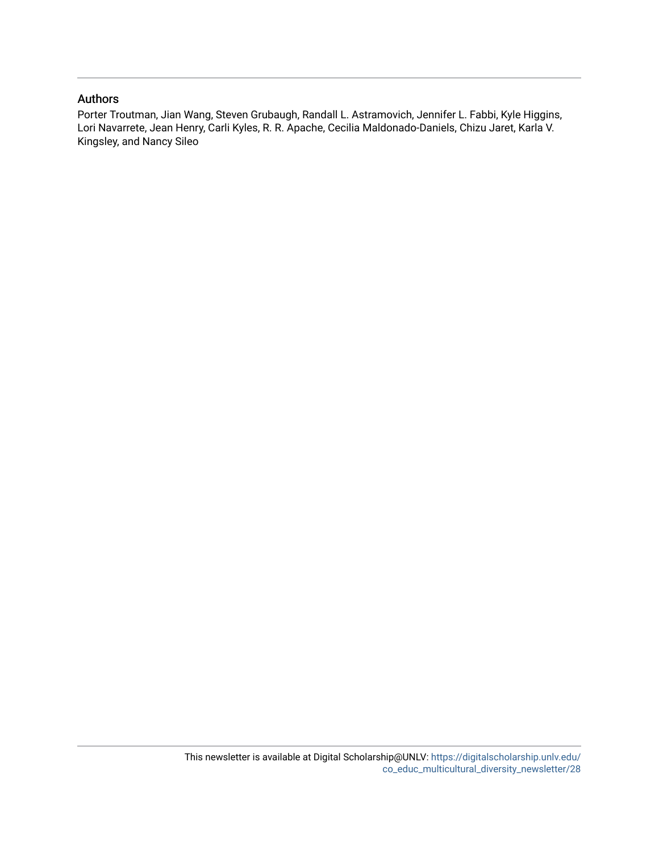#### Authors

Porter Troutman, Jian Wang, Steven Grubaugh, Randall L. Astramovich, Jennifer L. Fabbi, Kyle Higgins, Lori Navarrete, Jean Henry, Carli Kyles, R. R. Apache, Cecilia Maldonado-Daniels, Chizu Jaret, Karla V. Kingsley, and Nancy Sileo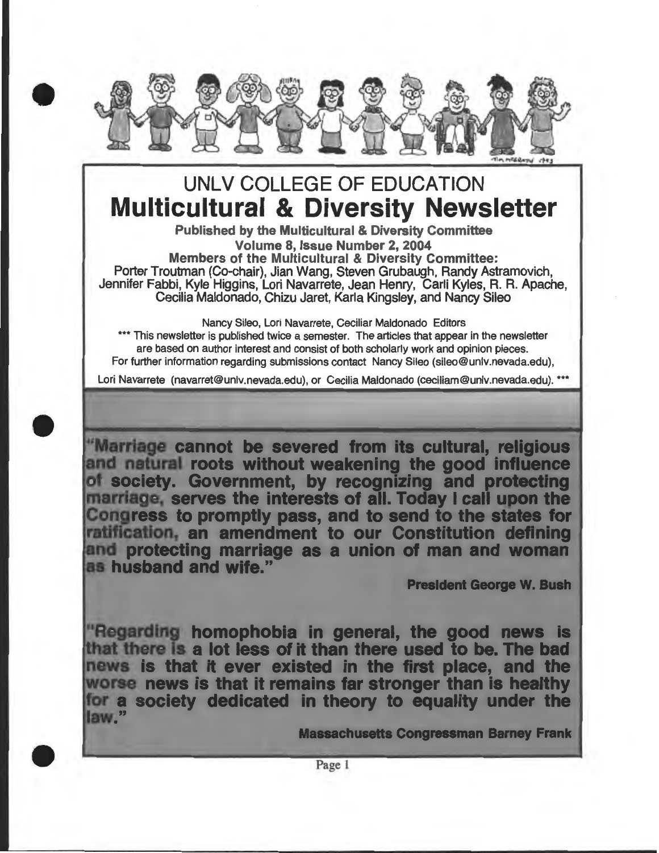

# UNLV COLLEGE OF EDUCATION **Multicultural & Diversity Newsletter**

Published by the Multicultural & Diversity Committee Volume 8, Issue Number 2, 2004 Members of the Multicultural & Diversity Committee: Porter Troutman (Co-chair), Jian Wang, Steven Grubaugh, Randy Astramovich, Jennifer Fabbi, Kyle Higgins, Lori Navarrete, Jean Henry, Carli Kyles, R. R. Apache, Cecilia Maldonado, Chizu Jaret, Karla Kingsley, and Nancy Sileo

Nancy Sileo, Lori Navarrete, Ceciliar Maldonado Editors \*\*\* This newsletter is published twice a semester. The articles that appear in the newsletter are based on author interest and consist of both scholarly work and opinion pieces. For further information regarding submissions contact Nancy Sileo (sileo@unlv.nevada.edu),

Lori Navarrete (navarret@univ.nevada.edu), or Cecilia Maldonado (ceciliam@unlv.nevada.edu). \*\*\*

•

•

"Marriage cannot be severed from its cultural, religious and natural roots without weakening the good influence of society. Government, by recognizing and protecting marriage, serves the interests of all. Today I call upon the Congress to promptly pass, and to send to the states for ratification, an amendment to our Constitution defining and protecting marriage as a union of man and woman as husband and wife."

**President George W. Bush** 

"Regarding homophobia in general, the good news is that there is a lot less of it than there used to be. The bad news is that it ever existed in the first place, and the worse news is that it remains far stronger than is healthy for a society dedicated in theory to equality under the law."

**Massachusetts Congressman Barney Frank** 

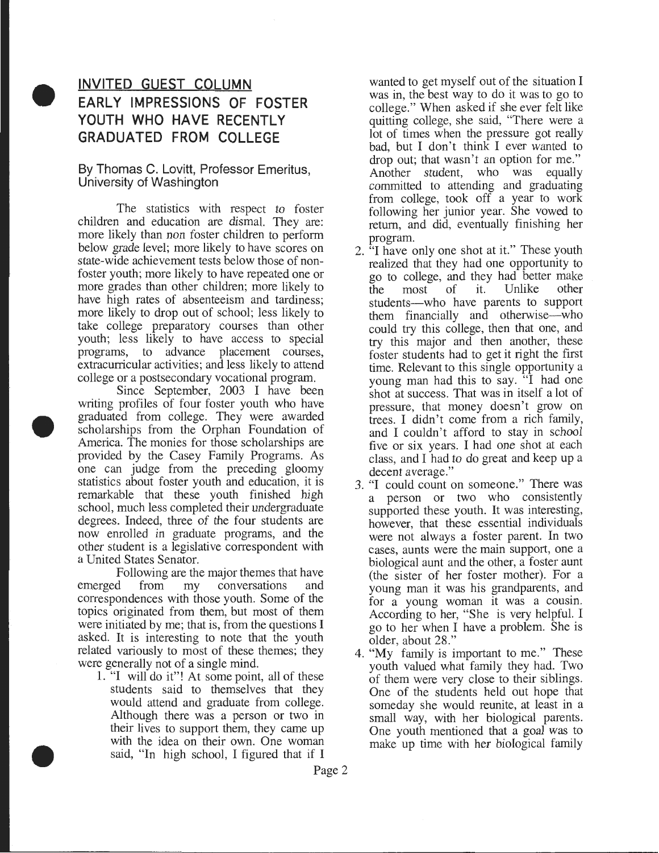## $\bullet$ **INVITED GUEST COLUMN EARLY IMPRESSIONS OF FOSTER YOUTH WHO HAVE RECENTLY GRADUATED FROM COLLEGE**

#### By Thomas C. Lovitt, Professor Emeritus, University of Washington

The statistics with respect to foster children and education are dismal. They are: more likely than non foster children to perform below grade level; more likely to have scores on state-wide achievement tests below those of nonfoster youth; more likely to have repeated one or more grades than other children; more likely to have high rates of absenteeism and tardiness; more likely to drop out of school; less likely to take college preparatory courses than other youth; less likely to have access to special programs, to advance placement courses, extracurricular activities; and less likely to attend college or a postsecondary vocational program.

• Since September, 2003 I have been writing profiles of four foster youth who have graduated from college. They were awarded scholarships from the Orphan Foundation of America. The monies for those scholarships are provided by the Casey Family Programs. As one can judge from the preceding gloomy statistics about foster youth and education, it is remarkable that these youth finished high school, much less completed their undergraduate degrees. Indeed, three of the four students are now enrolled in graduate programs, and the other student is a legislative correspondent with a United States Senator.

Following are the major themes that have emerged from my conversations and correspondences with those youth. Some of the topics originated from them, but most of them were initiated by me; that is, from the questions I asked. It is interesting to note that the youth related variously to most of these themes; they were generally not of a single mind.

1. "I will do it"! At some point, all of these students said to themselves that they would attend and graduate from college. Although there was a person or two in their lives to support them, they came up with the idea on their own. One woman said, "In high school, I figured that if I

•

wanted to get myself out of the situation I was in, the best way to do it was to go to college." When asked if she ever felt like quitting college, she said, "There were a lot of times when the pressure got really bad, but I don't think I ever wanted to drop out; that wasn't an option for me." Another student, who was equally committed to attending and graduating from college, took off a year to work following her junior year. She vowed to return, and did, eventually finishing her

- program. 2. "I have only one shot at it." These youth realized that they had one opportunity to go to college, and they had better make<br>the most of it. Unlike other the most of it. Unlike students-who have parents to support them financially and otherwise-who could try this college, then that one, and try this major and then another, these foster students had to get it right the first time. Relevant to this single opportunity a young man had this to say. "I had one shot at success. That was in itself a lot of pressure, that money doesn't grow on trees. I didn't come from a rich family, and I couldn't afford to stay in school five or six years. I had one shot at each class, and I had to do great and keep up a decent average."
- 3. "I could count on someone." There was a person or two who consistently supported these youth. It was interesting, however, that these essential individuals were not always a foster parent. In two cases, aunts were the main support, one a biological aunt and the other, a foster aunt (the sister of her foster mother). For a young man it was his grandparents, and for a young woman it was a cousin. According to her, "She is very helpful. I go to her when I have a problem. She is older, about 28."
- 4. "My family is important to me." These youth valued what family they had. Two of them were very close to their siblings. One of the students held out hope that someday she would reunite, at least in a small way, with her biological parents. One youth mentioned that a goal was to make up time with her biological family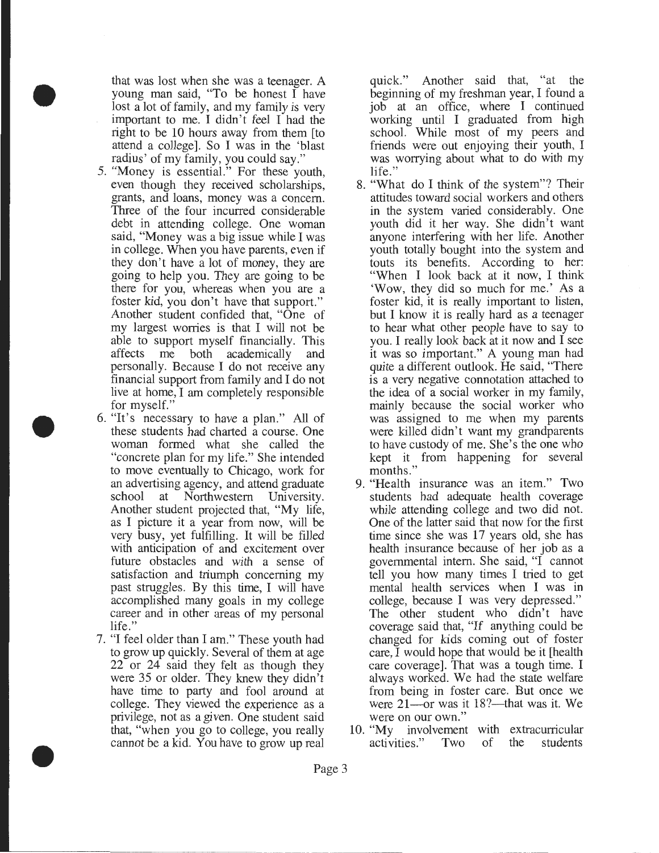that was lost when she was a teenager. A young man said, "To be honest I have lost a lot of family, and my family is very important to me. I didn't feel I had the right to be 10 hours away from them [to attend a college]. So I was in the 'blast radius' of my family, you could say."

•

•

•

- 5. "Money is essential." For these youth, even though they received scholarships, grants, and loans, money was a concern. Three of the four incurred considerable debt in attending college. One woman said, "Money was a big issue while I was in college. When you have parents, even if they don't have a lot of money, they are going to help you. They are going to be there for you, whereas when you are a foster kid, you don't have that support." Another student confided that, "One of my largest worries is that I will not be able to support myself financially. This affects me both academically and personally. Because I do not receive any financial support from family and I do not live at home, I am completely responsible for myself."
- 6. "It's necessary to have a plan." All of these students had charted a course. One woman formed what she called the "concrete plan for my life." She intended to move eventually to Chicago, work for an advertising agency, and attend graduate school at Northwestern University. Another student projected that, "My life, as I picture it a year from now, will be very busy, yet fulfilling. It will be filled with anticipation of and excitement over future obstacles and with a sense of satisfaction and triumph concerning my past struggles. By this time, I will have accomplished many goals in my college career and in other areas of my personal life."
- 7. "I feel older than I am." These youth had to grow up quickly. Several of them at age 22 or 24 said they felt as though they were 35 or older. They knew they didn't have time to party and fool around at college. They viewed the experience as a privilege, not as a given. One student said that, "when you go to college, you really cannot be a kid. You have to grow up real

quick." Another said that, "at the beginning of my freshman year, I found a job at an office, where I continued working until I graduated from high school. While most of my peers and friends were out enjoying their youth, I was worrying about what to do with my life."

- 8. "What do I think of the system"? Their attitudes toward social workers and others in the system varied considerably. One youth did it her way. She didn't want anyone interfering with her life. Another youth totally bought into the system and touts its benefits. According to her: "When I look back at it now, I think 'Wow, they did so much for me.' As a foster kid, it is really important to listen, but I know it is really hard as a teenager to hear what other people have to say to you. I really look back at it now and I see it was so important." A young man had quite a different outlook. He said, "There is a very negative connotation attached to the idea of a social worker in my family, mainly because the social worker who was assigned to me when my parents were killed didn't want my grandparents to have custody of me. She's the one who kept it from happening for several months.''
- 9. "Health insurance was an item.'' Two students had adequate health coverage while attending college and two did not. One of the latter said that now for the first time since she was 17 years old, she has health insurance because of her job as a governmental intern. She said, "I cannot tell you how many times I tried to get mental health services when I was in college, because I was very depressed.'' The other student who didn't have coverage said that, "If anything could be changed for kids coming out of foster care, I would hope that would be it [health care coverage]. That was a tough time. I always worked. We had the state welfare from being in foster care. But once we were  $21$ —or was it 18?—that was it. We were on our own.''
- 10. "My involvement with extracurricular activities.'' Two of the students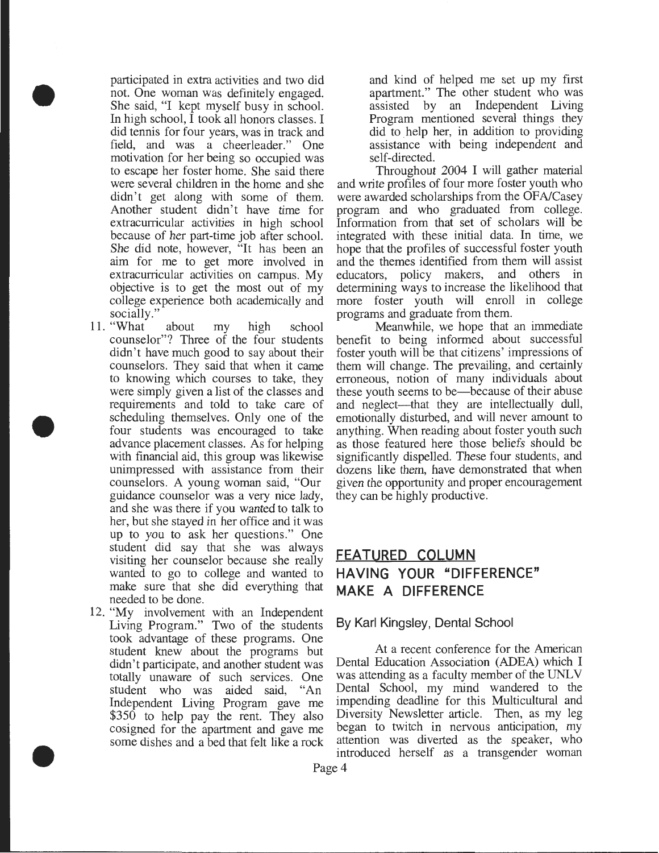participated in extra activities and two did not. One woman was definitely engaged. She said, "I kept myself busy in school. In high school, I took all honors classes. I did tennis for four years, was in track and field, and was a cheerleader." One motivation for her being so occupied was to escape her foster home. She said there were several children in the home and she didn't get along with some of them. Another student didn't have time for extracurricular activities in high school because of her part-time job after school. She did note, however, "It has been an aim for me to get more involved in extracurricular activities on campus. My objective is to get the most out of my college experience both academically and socially.'

•

•

•

- 11. "What about my high school counselor"? Three of the four students didn't have much good to say about their counselors. They said that when it came to knowing which courses to take, they were simply given a list of the classes and requirements and told to take care of scheduling themselves. Only one of the four students was encouraged to take advance placement classes. As for helping with financial aid, this group was likewise unimpressed with assistance from their counselors. A young woman said, "Our guidance counselor was a very nice lady, and she was there if you wanted to talk to her, but she stayed in her office and it was up to you to ask her questions." One student did say that she was always visiting her counselor because she really wanted to go to college and wanted to make sure that she did everything that needed to be done.
- 12. "My involvement with an Independent Living Program." Two of the students took advantage of these programs. One student knew about the programs but didn't participate, and another student was totally unaware of such services. One student who was aided said, "An Independent Living Program gave me \$350 to help pay the rent. They also cosigned for the apartment and gave me some dishes and a bed that felt like a rock

and kind of helped me set up my first apartment." The other student who was assisted by an Independent Living Program mentioned several things they did to help her, in addition to providing assistance with being independent and self -directed.

Throughout 2004 I will gather material and write profiles of four more foster youth who were awarded scholarships from the OF A/Casey program and who graduated from college. Information from that set of scholars will be integrated with these initial data. In time, we hope that the profiles of successful foster youth and the themes identified from them will assist educators, policy makers, and others in determining ways to increase the likelihood that more foster youth will enroll in college programs and graduate from them.

Meanwhile, we hope that an immediate benefit to being informed about successful foster youth will be that citizens' impressions of them will change. The prevailing, and certainly erroneous, notion of many individuals about these youth seems to be-because of their abuse and neglect—that they are intellectually dull, emotionally disturbed, and will never amount to anything. When reading about foster youth such as those featured here those beliefs should be significantly dispelled. These four students, and dozens like them, have demonstrated that when given the opportunity and proper encouragement they can be highly productive.

## **FEATURED COLUMN HAVING YOUR "DIFFERENCE" MAKE A DIFFERENCE**

#### By Karl Kingsley, Dental School

At a recent conference for the American Dental Education Association (ADEA) which I was attending as a faculty member of the UNLV Dental School, my mind wandered to the impending deadline for this Multicultural and Diversity Newsletter article. Then, as my leg began to twitch in nervous anticipation, my attention was diverted as the speaker, who introduced herself as a transgender woman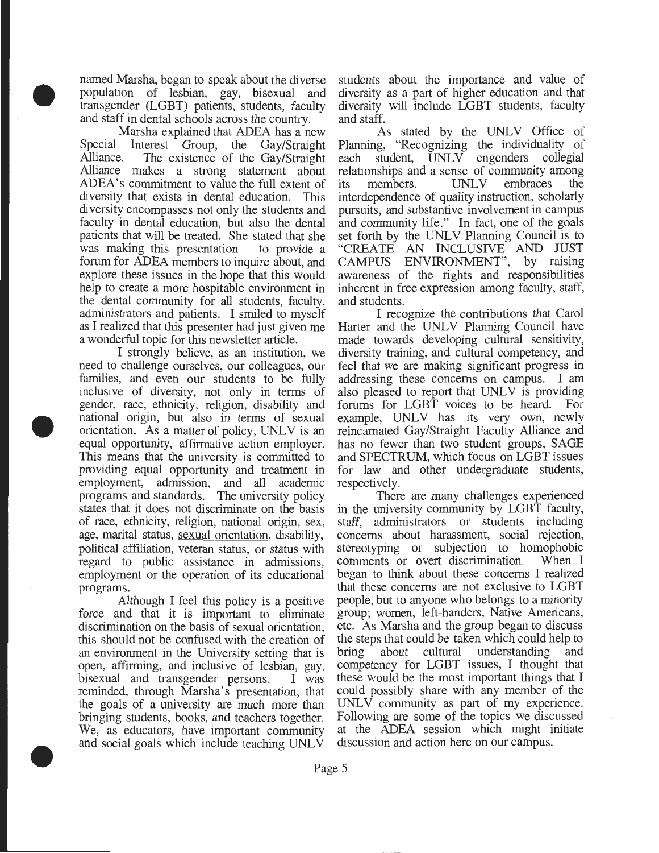named Marsha, began to speak about the diverse population of lesbian, gay, bisexual and transgender (LGBT) patients, students, faculty and staff in dental schools across the country.

• Marsha explained that ADEA has a new Special Interest Group, the Gay/Straight Alliance. The existence of the Gay/Straight Alliance makes a strong statement about ADEA's commitment to value the full extent of diversity that exists in dental education. This diversity encompasses not only the students and faculty in dental education, but also the dental patients that will be treated. She stated that she was making this presentation to provide a forum for ADEA members to inquire about, and explore these issues in the hope that this would help to create a more hospitable environment in the dental community for all students, faculty, administrators and patients. I smiled to myself as I realized that this presenter had just given me a wonderful topic for this newsletter article.

• I strongly believe, as an institution, we need to challenge ourselves, our colleagues, our families, and even our students to be fully inclusive of diversity, not only in terms of gender, race, ethnicity, religion, disability and national origin, but also in terms of sexual orientation. As a matter of policy, UNLV is an equal opportunity, affirmative action employer. This means that the university is committed to providing equal opportunity and treatment in employment, admission, and all academic programs and standards. The university policy states that it does not discriminate on the basis of race, ethnicity, religion, national origin, sex, age, marital status, sexual orientation, disability, political affiliation, veteran status, or status with regard to public assistance in admissions, employment or the operation of its educational programs.

• Although I feel this policy is a positive force and that it is important to eliminate discrimination on the basis of sexual orientation, this should not be confused with the creation of an environment in the University setting that is open, affirming, and inclusive of lesbian, gay, bisexual and transgender persons. I was reminded, through Marsha's presentation, that the goals of a university are much more than bringing students, books, and teachers together. We, as educators, have important community and social goals which include teaching UNL V

students about the importance and value of diversity as a part of higher education and that diversity will include LGBT students, faculty and staff.

As stated by the UNLV Office of Planning, "Recognizing the individuality of each student, UNLV engenders collegial relationships and a sense of community among<br>its members. UNLV embraces the its members. UNLV embraces the interdependence of quality instruction, scholarly pursuits, and substantive involvement in campus and community life." In fact, one of the goals set forth by the UNLV Planning Council is to "CREATE AN INCLUSIVE AND JUST CAMPUS ENVIRONMENT", by raising awareness of the rights and responsibilities inherent in free expression among faculty, staff, and students.

I recognize the contributions that Carol Harter and the UNLV Planning Council have made towards developing cultural sensitivity, diversity training, and cultural competency, and feel that we are making significant progress in addressing these concerns on campus. I am also pleased to report that UNLV is providing forums for LGBT voices to be heard. For example, UNLV has its very own, newly reincarnated Gay/Straight Faculty Alliance and has no fewer than two student groups, SAGE and SPECTRUM, which focus on LGBT issues for law and other undergraduate students, respectively.

There are many challenges experienced in the university community by LGBT faculty, staff, administrators or students including concerns about harassment, social rejection, stereotyping or subjection to homophobic comments or overt discrimination. When I began to think about these concerns I realized that these concerns are not exclusive to LGBT people, but to anyone who belongs to a minority group; women, left-handers, Native Americans, etc. As Marsha and the group began to discuss the steps that could be taken which could help to bring about cultural understanding and competency for LGBT issues, I thought that these would be the most important things that I could possibly share with any member of the UNLV community as part of my experience. Following are some of the topics we discussed at the ADEA session which might initiate discussion and action here on our campus.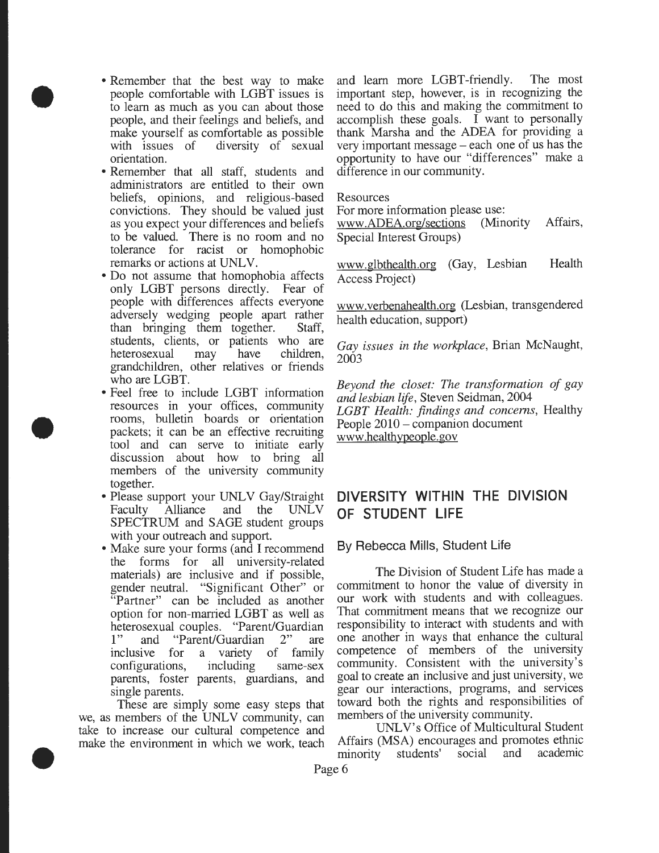• Remember that the best way to make people comfortable with LGBT issues is to learn as much as you can about those people, and their feelings and beliefs, and make yourself as comfortable as possible with issues of diversity of sexual orientation.

•

•

- Remember that all staff, students and administrators are entitled to their own beliefs, opinions, and religious-based convictions. They should be valued just as you expect your differences and beliefs to be valued. There is no room and no tolerance for racist or homophobic remarks or actions at UNLV.
- Do not assume that homophobia affects only LGBT persons directly. Fear of people with differences affects everyone adversely wedging people apart rather than bringing them together. Staff, students, clients, or patients who are heterosexual may have children, grandchildren, other relatives or friends who are LGBT.
- Feel free to include LGBT information resources in your offices, community rooms, bulletin boards or orientation packets; it can be an effective recruiting tool and can serve to initiate early discussion about how to bring all members of the university community together.
- Please support your UNLV Gay/Straight Faculty Alliance and the UNLV SPECTRUM and SAGE student groups with your outreach and support.
- Make sure your forms (and I recommend the forms for all university-related materials) are inclusive and if possible, gender neutral. "Significant Other" or "Partner" can be included as another option for non-married LGBT as well as heterosexual couples. "Parent/Guardian<br>1" and "Parent/Guardian 2" are "Parent/Guardian 2" are inclusive for a variety of family configurations, including same-sex parents, foster parents, guardians, and single parents.

• These are simply some easy steps that we, as members of the UNLV community, can take to increase our cultural competence and make the environment in which we work, teach and learn more LGBT-friendly. The most important step, however, is in recognizing the need to do this and making the commitment to accomplish these goals.  $\overline{I}$  want to personally thank Marsha and the ADEA for providing a very important message – each one of us has the opportunity to have our "differences" make a difference in our community.

#### Resources

For more information please use:

www.ADEA.org/sections (Minority Special Interest Groups) Affairs,

www.glbthealth.org (Gay, Lesbian Access Project) Health

www. verbenahealth.org (Lesbian, transgendered health education, support)

*Gay issues in the workplace,* Brian McNaught, 2003

*Beyond the closet: The transformation of gay and lesbian life,* Steven Seidman, 2004 *LGBT Health: findings and concerns,* Healthy People 2010 – companion document www .healthypeople. gov

### **DIVERSITY WITHIN THE DIVISION OF STUDENT LIFE**

#### By Rebecca Mills, Student Life

The Division of Student Life has made a commitment to honor the value of diversity in our work with students and with colleagues. That commitment means that we recognize our responsibility to interact with students and with one another in ways that enhance the cultural competence of members of the university community. Consistent with the university's goal to create an inclusive and just university, we gear our interactions, programs, and services toward both the rights and responsibilities of members of the university community.

UNLV's Office of Multicultural Student Affairs (MSA) encourages and promotes ethnic minority students' social and academic

Page 6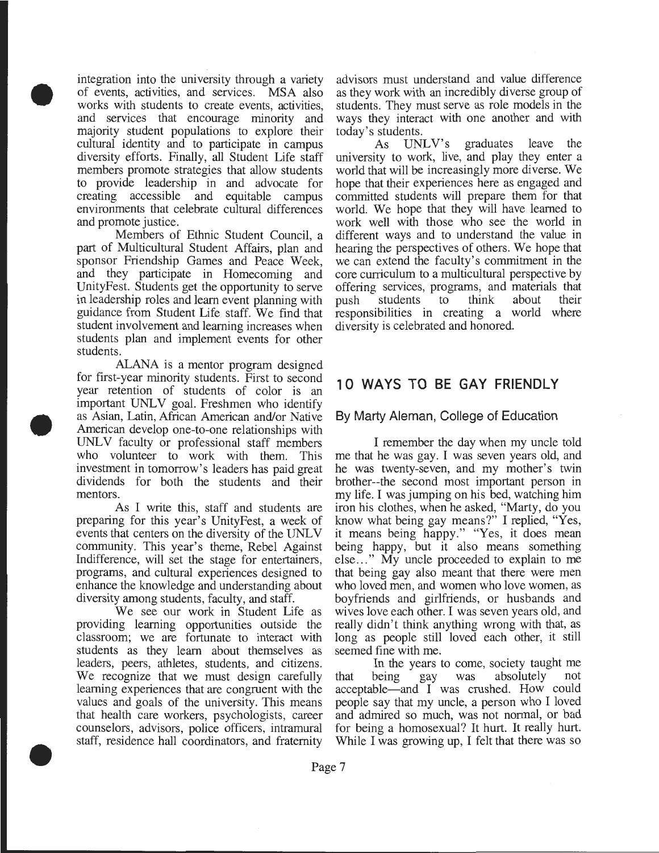• integration into the university through a variety of events, activities, and services. MSA also works with students to create events, activities, and services that encourage minority and majority student populations to explore their cultural identity and to participate in campus diversity efforts. Finally, all Student Life staff members promote strategies that allow students to provide leadership in and advocate for creating accessible and equitable campus environments that celebrate cultural differences and promote justice.

> Members of Ethnic Student Council, a part of Multicultural Student Affairs, plan and sponsor Friendship Games and Peace Week, and they participate in Homecoming and UnityFest. Students get the opportunity to serve in leadership roles and learn event planning with guidance from Student Life staff. We find that student involvement and learning increases when students plan and implement events for other students.

• ALANA is a mentor program designed for first-year minority students. First to second year retention of students of color is an important UNLV goal. Freshmen who identify as Asian, Latin, African American and/or Native American develop one-to-one relationships with UNLV faculty or professional staff members who volunteer to work with them. This investment in tomorrow's leaders has paid great dividends for both the students and their mentors.

> As I write this, staff and students are preparing for this year's UnityFest, a week of events that centers on the diversity of the UNLV community. This year's theme, Rebel Against Indifference, will set the stage for entertainers, programs, and cultural experiences designed to enhance the know ledge and understanding about diversity among students, faculty, and staff.

• We see our work in Student Life as providing learning opportunities outside the classroom; we are fortunate to interact with students as they learn about themselves as leaders, peers, athletes, students, and citizens. We recognize that we must design carefully learning experiences that are congruent with the values and goals of the university. This means that health care workers, psychologists, career counselors, advisors, police officers, intramural staff, residence hall coordinators, and fraternity

advisors must understand and value difference as they work with an incredibly diverse group of students. They must serve as role models in the ways they interact with one another and with

today's students.<br>As UNLV's As UNLV's graduates leave the university to work, live, and play they enter a world that will be increasingly more diverse. We hope that their experiences here as engaged and committed students will prepare them for that world. We hope that they will have learned to work well with those who see the world in different ways and to understand the value in hearing the perspectives of others. We hope that we can extend the faculty's commitment in the core curriculum to a multicultural perspective by offering services, programs, and materials that push students to responsibilities in creating a world where diversity is celebrated and honored.

## **1 0 WAYS TO BE GAY FRIENDLY**

#### By Marty Aleman, College of Education

I remember the day when my uncle told me that he was gay. I was seven years old, and he was twenty-seven, and my mother's twin brother--the second most important person in my life. I was jumping on his bed, watching him iron his clothes, when he asked, "Marty, do you know what being gay means?" I replied, "Yes, it means being happy." "Yes, it does mean being happy, but it also means something else ... " My uncle proceeded to explain to me that being gay also meant that there were men who loved men, and women who love women, as boyfriends and girlfriends, or husbands and wives love each other. I was seven years old, and really didn't think anything wrong with that, as long as people still loved each other, it still seemed fine with me.

In the years to come, society taught me<br>being gay was absolutely not that being gay was absolutely acceptable-and I was crushed. How could people say that my uncle, a person who I loved and admired so much, was not normal, or bad for being a homosexual? It hurt. It really hurt. While I was growing up, I felt that there was so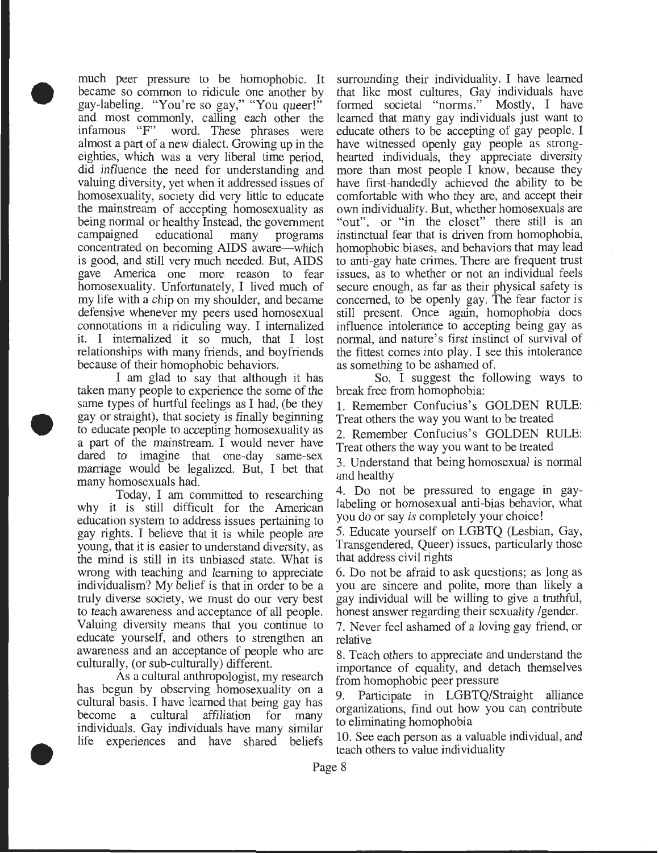• much peer pressure to be homophobic. It became so common to ridicule one another by gay-labeling. "You're so gay," "You queer!" and most commonly, calling each other the infamous "F" word. These phrases were word. These phrases were almost a part of a new dialect. Growing up in the eighties, which was a very liberal time period, did influence the need for understanding and valuing diversity, yet when it addressed issues of homosexuality, society did very little to educate the mainstream of accepting homosexuality as being normal or healthy Instead, the government campaigned educational many programs concentrated on becoming AIDS aware—which is good, and still very much needed. But, AIDS gave America one more reason to fear homosexuality. Unfortunately, I lived much of my life with a chip on my shoulder, and became defensive whenever my peers used homosexual connotations in a ridiculing way. I internalized it. I internalized it so much, that I lost relationships with many friends, and boyfriends because of their homophobic behaviors.

• I am glad to say that although it has taken many people to experience the some of the same types of hurtful feelings as I had, (be they gay or straight), that society is finally beginning to educate people to accepting homosexuality as a part of the mainstream. I would never have dared to imagine that one-day same-sex marriage would be legalized. But, I bet that many homosexuals had.

> Today, I am committed to researching why it is still difficult for the American education system to address issues pertaining to gay rights. I believe that it is while people are young, that it is easier to understand diversity, as the mind is still in its unbiased state. What is wrong with teaching and learning to appreciate individualism? My belief is that in order to be a truly diverse society, we must do our very best to teach awareness and acceptance of all people. Valuing diversity means that you continue to educate yourself, and others to strengthen an awareness and an acceptance of people who are culturally, (or sub-culturally) different.

• As a cultural anthropologist, my research has begun by observing homosexuality on a cultural basis. I have learned that being gay has become a cultural affiliation for many individuals. Gay individuals have many similar life experiences and have shared beliefs

surrounding their individuality. I have learned that like most cultures, Gay individuals have formed societal "norms." Mostly, I have learned that many gay individuals just want to educate others to be accepting of gay people. I have witnessed openly gay people as stronghearted individuals, they appreciate diversity more than most people I know, because they have first-handedly achieved the ability to be comfortable with who they are, and accept their own individuality. But, whether homosexuals are "out", or "in the closet" there still is an instinctual fear that is driven from homophobia, homophobic biases, and behaviors that may lead to anti-gay hate crimes. There are frequent trust issues, as to whether or not an individual feels secure enough, as far as their physical safety is concerned, to be openly gay. The fear factor is still present. Once again, homophobia does influence intolerance to accepting being gay as normal, and nature's first instinct of survival of the fittest comes into play. I see this intolerance as something to be ashamed of.

So, I suggest the following ways to break free from homophobia:

1. Remember Confucius's GOLDEN RULE: Treat others the way you want to be treated

2. Remember Confucius's GOLDEN RULE: Treat others the way you want to be treated

3. Understand that being homosexual is normal and healthy

4. Do not be pressured to engage in gaylabeling or homosexual anti-bias behavior, what you do or say *is* completely your choice!

5. Educate yourself on LGBTQ (Lesbian, Gay, Transgendered, Queer) issues, particularly those that address civil rights

6. Do not be afraid to ask questions; as long as you are sincere and polite, more than likely a gay individual will be willing to give a truthful, honest answer regarding their sexuality /gender.

7. Never feel ashamed of a loving gay friend, or relative

8. Teach others to appreciate and understand the importance of equality, and detach themselves from homophobic peer pressure

9. Participate in LGBTQ/Straight alliance organizations, find out how you can contribute to eliminating homophobia

10. See each person as a valuable individual, and teach others to value individuality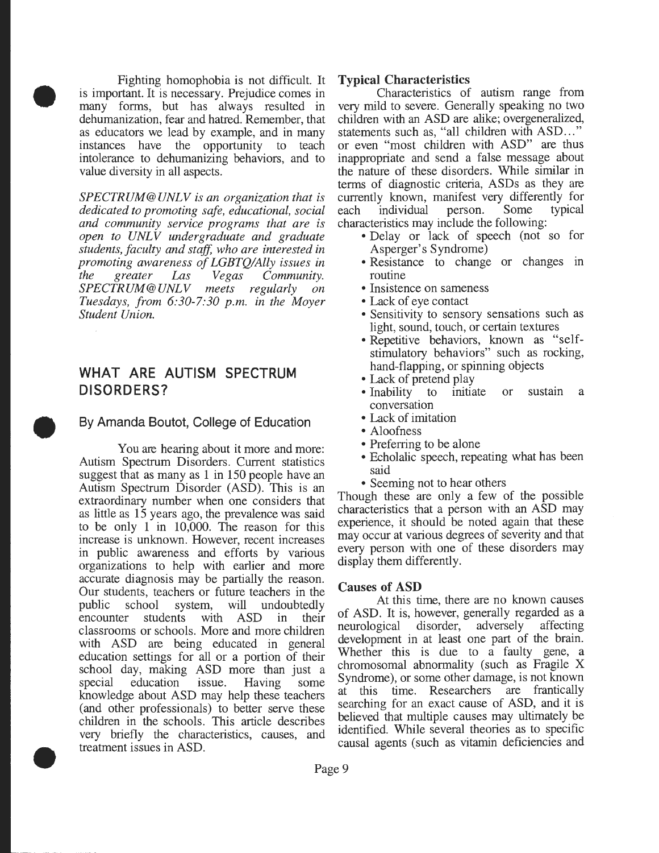• Fighting homophobia is not difficult. It is important. It is necessary. Prejudice comes in many forms, but has always resulted in dehumanization, fear and hatred. Remember, that as educators we lead by example, and in many instances have the opportunity to teach intolerance to dehumanizing behaviors, and to value diversity in all aspects.

> *SPECTRUM@UNLV is an organization that is dedicated to promoting safe, educational, social and community service programs that are is open to UNLV undergraduate and graduate students, faculty and staff, who are interested in promoting awareness of LGBTQ!Ally issues in the greater Las Vegas Community. SPECTRUM@UNLV meets regularly on Tuesdays, from 6:30-7:30 p.m. in the Moyer Student Union.*

#### **WHAT ARE AUTISM SPECTRUM DISORDERS?**

#### By Amanda Boutot, College of Education

 $\bullet$ • You are hearing about it more and more: Autism Spectrum Disorders. Current statistics suggest that as many as 1 in 150 people have an Autism Spectrum Disorder (ASD). This is an extraordinary number when one considers that as little as 15 years ago, the prevalence was said to be only 1 in 10,000. The reason for this increase is unknown. However, recent increases in public awareness and efforts by various organizations to help with earlier and more accurate diagnosis may be partially the reason. Our students, teachers or future teachers in the public school system, will undoubtedly public school system, will undoubtedly encounter students with ASD in their classrooms or schools. More and more children with ASD are being educated in general education settings for all or a portion of their school day, making ASD more than just a special education issue. Having some knowledge about ASD may help these teachers (and other professionals) to better serve these children in the schools. This article describes very briefly the characteristics, causes, and treatment issues in ASD.

#### Typical Characteristics

Characteristics of autism range from very mild to severe. Generally speaking no two children with an ASD are alike; overgeneralized, statements such as, "all children with ASD..." or even "most children with ASD" are thus inappropriate and send a false message about the nature of these disorders. While similar in terms of diagnostic criteria, ASDs as they are currently known, manifest very differently for each individual person. Some typical characteristics may include the following:

- Delay or lack of speech (not so for Asperger's Syndrome)
- Resistance to change or changes in routine
- Insistence on sameness
- Lack of eye contact
- Sensitivity to sensory sensations such as light, sound, touch, or certain textures
- Repetitive behaviors, known as "selfstimulatory behaviors" such as rocking, hand-flapping, or spinning objects
- Lack of pretend play
- Inability to initiate or sustain a conversation
- Lack of imitation
- Aloofness
- Preferring to be alone
- Echolalic speech, repeating what has been said
- Seeming not to hear others

Though these are only a few of the possible characteristics that a person with an ASD may experience, it should be noted again that these may occur at various degrees of severity and that every person with one of these disorders may display them differently.

#### Causes of ASD

At this time, there are no known causes of ASD. It is, however, generally regarded as a neurological disorder, adversely affecting development in at least one part of the brain. Whether this is due to a faulty gene, a chromosomal abnormality (such as Fragile X Syndrome), or some other damage, is not known at this time. Researchers are frantically searching for an exact cause of ASD, and it is believed that multiple causes may ultimately be identified. While several theories as to specific causal agents (such as vitamin deficiencies and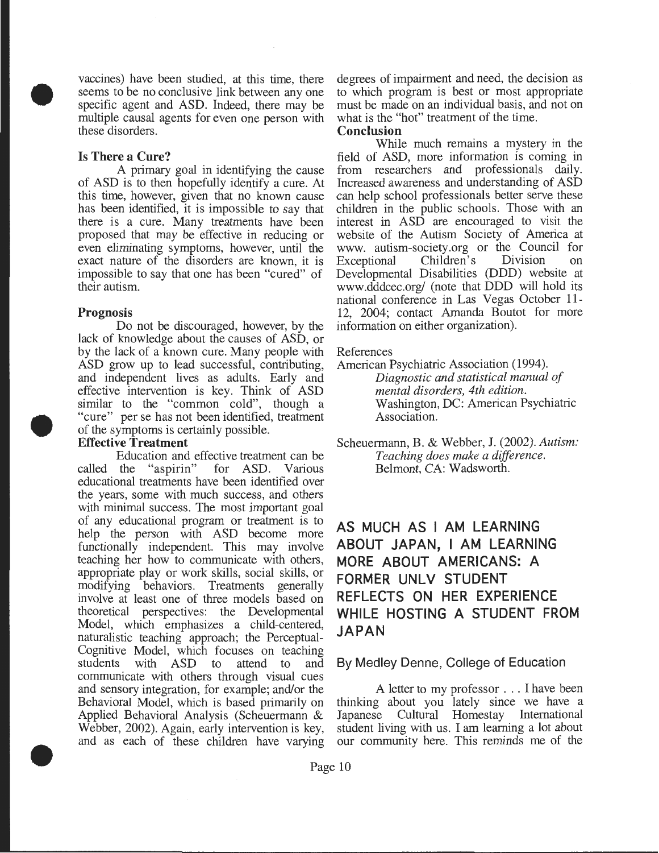• vaccines) have been studied, at this time, there seems to be no conclusive link between any one specific agent and ASD. Indeed, there may be multiple causal agents for even one person with these disorders.

#### **Is There a Cure?**

A primary goal in identifying the cause of ASD is to then hopefully identify a cure. At this time, however, given that no known cause has been identified, it is impossible to say that there is a cure. Many treatments have been proposed that may be effective in reducing or even eliminating symptoms, however, until the exact nature of the disorders are known, it is impossible to say that one has been "cured" of their autism.

#### **Prognosis**

•

•

Do not be discouraged, however, by the lack of knowledge about the causes of ASD, or by the lack of a known cure. Many people with ASD grow up to lead successful, contributing, and independent lives as adults. Early and effective intervention is key. Think of ASD similar to the "common cold", though a "cure" per se has not been identified, treatment of the symptoms is certainly possible.

#### **Effective Treatment**

Education and effective treatment can be called the "aspirin" for ASD. Various educational treatments have been identified over the years, some with much success, and others with minimal success. The most important goal of any educational program or treatment is to help the person with ASD become more functionally independent. This may involve teaching her how to communicate with others, appropriate play or work skills, social skills, or modifying behaviors. Treatments generally involve at least one of three models based on theoretical perspectives: the Developmental Model, which emphasizes a child-centered, naturalistic teaching approach; the Perceptual-Cognitive Model, which focuses on teaching students with ASD to attend to and communicate with others through visual cues and sensory integration, for example; and/or the Behavioral Model, which is based primarily on Applied Behavioral Analysis (Scheuermann & Webber, 2002). Again, early intervention is key, and as each of these children have varying

degrees of impairment and need, the decision as to which program is best or most appropriate must be made on an individual basis, and not on what is the "hot" treatment of the time.

#### **Conclusion**

While much remains a mystery in the field of ASD, more information is coming in from researchers and professionals daily. Increased awareness and understanding of ASD can help school professionals better serve these children in the public schools. Those with an interest in ASD are encouraged to visit the website of the Autism Society of America at www. autism-society.org or the Council for<br>Exceptional Children's Division on Exceptional Developmental Disabilities (DDD) website at www.dddcec.org/ (note that DDD will hold its national conference in Las Vegas October **11-** 12, 2004; contact Amanda Boutot for more information on either organization).

#### References

American Psychiatric Association (1994). *Diagnostic and statistical manual of mental disorders, 4th edition.*  Washington, DC: American Psychiatric Association.

Scheuermann, B. & Webber, **J.** (2002). *Autism: Teaching does make a difference.*  Belmont, CA: Wadsworth.

## **AS MUCH AS I AM LEARNING ABOUT JAPAN, I AM LEARNING MORE ABOUT AMERICANS: A FORMER UNLV STUDENT REFLECTS ON HER EXPERIENCE WHILE HOSTING A STUDENT FROM JAPAN**

#### **By Medley Denne, College of Education**

A letter to my professor ... I have been thinking about you lately since we have a Japanese Cultural Homestay International student living with us. I am learning a lot about our community here. This reminds me of the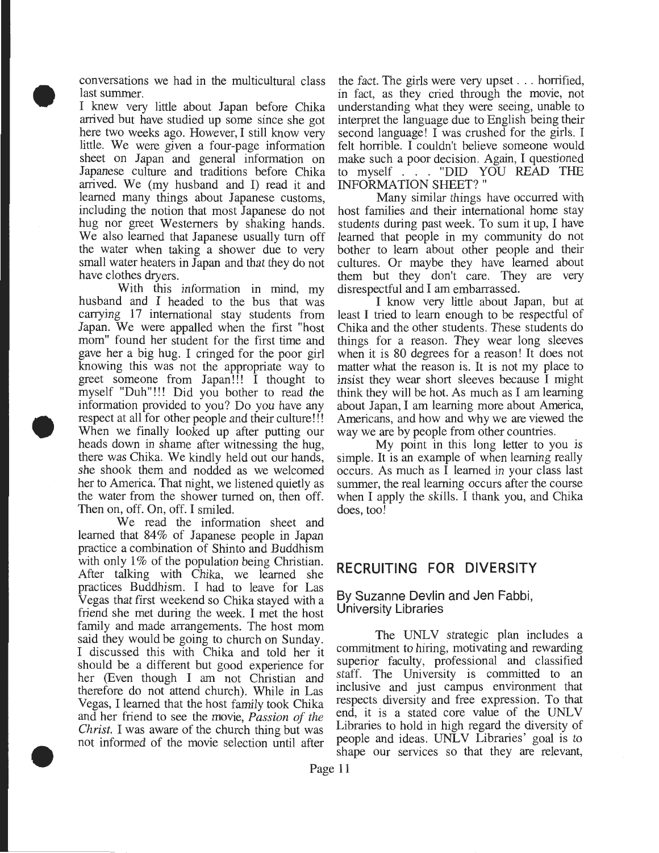conversations we had in the multicultural class last summer.

• I knew very little about Japan before Chika arrived but have studied up some since she got here two weeks ago. However, I still know very little. We were given a four-page information sheet on Japan and general information on Japanese culture and traditions before Chika arrived. We (my husband and I) read it and learned many things about Japanese customs, including the notion that most Japanese do not hug nor greet Westerners by shaking hands. We also learned that Japanese usually tum off the water when taking a shower due to very small water heaters in Japan and that they do not have clothes dryers.

• With this information in mind, my husband and I headed to the bus that was carrying 17 international stay students from Japan. We were appalled when the first "host mom" found her student for the first time and gave her a big hug. I cringed for the poor girl knowing this was not the appropriate way to greet someone from Japan!!! I thought to myself "Duh"!!! Did you bother to read the information provided to you? Do you have any respect at all for other people and their culture!!! When we finally looked up after putting our heads down in shame after witnessing the hug, there was Chika. We kindly held out our hands, she shook them and nodded as we welcomed her to America. That night, we listened quietly as the water from the shower turned on, then off. Then on, off. On, off. I smiled.

• We read the information sheet and learned that 84% of Japanese people in Japan practice a combination of Shinto and Buddhism with only 1% of the population being Christian. After talking with Chika, we learned she practices Buddhism. I had to leave for Las Vegas that first weekend so Chika stayed with a friend she met during the week. I met the host family and made arrangements. The host mom said they would be going to church on Sunday. I discussed this with Chika and told her it should be a different but good experience for her (Even though I am not Christian and therefore do not attend church). While in Las Vegas, I learned that the host family took Chika and her friend to see the movie, *Passion of the Christ.* I was aware of the church thing but was not informed of the movie selection until after

the fact. The girls were very upset . . . horrified, in fact, as they cried through the movie, not understanding what they were seeing, unable to interpret the language due to English being their second language! I was crushed for the girls. I felt horrible. I couldn't believe someone would make such a poor decision. Again, I questioned to myself . . . "DID YOU READ THE INFORMATION SHEET? "

Many similar things have occurred with host families and their international home stay students during past week. To sum it up, I have learned that people in my community do not bother to learn about other people and their cultures. Or maybe they have learned about them but they don't care. They are very disrespectful and I am embarrassed.

I know very little about Japan, but at least I tried to learn enough to be respectful of Chika and the other students. These students do things for a reason. They wear long sleeves when it is 80 degrees for a reason! It does not matter what the reason is. It is not my place to insist they wear short sleeves because I might think they will be hot. As much as I am learning about Japan, I am learning more about America, Americans, and how and why we are viewed the way we are by people from other countries.

My point in this long letter to you is simple. It is an example of when learning really occurs. As much as I learned in your class last summer, the real learning occurs after the course when I apply the skills. I thank you, and Chika does, too!

#### **RECRUITING FOR DIVERSITY**

#### By Suzanne Devlin and Jen Fabbi, University Libraries

The UNLV strategic plan includes a commitment to hiring, motivating and rewarding superior faculty, professional and classified staff. The University is committed to an inclusive and just campus environment that respects diversity and free expression. To that end, it is a stated core value of the UNLV Libraries to hold in high regard the diversity of people and ideas. UNLV Libraries' goal is to shape our services so that they are relevant,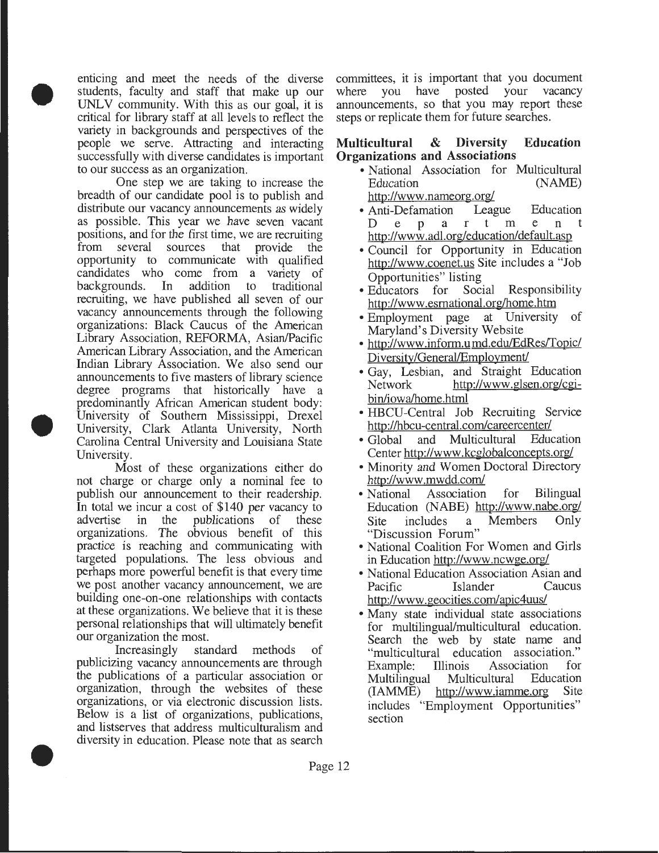• enticing and meet the needs of the diverse students, faculty and staff that make up our UNLV community. With this as our goal, it is critical for library staff at all levels to reflect the variety in backgrounds and perspectives of the people we serve. Attracting and interacting successfully with diverse candidates is important to our success as an organization.

 $\bullet$ One step we are taking to increase the breadth of our candidate pool is to publish and distribute our vacancy announcements as widely as possible. This year we have seven vacant positions, and for the first time, we are recruiting from several sources that provide the opportunity to communicate with qualified candidates who come from a variety of backgrounds. In addition to traditional addition to traditional recruiting, we have published all seven of our vacancy announcements through the following organizations: Black Caucus of the American Library Association, REFORMA, Asian/Pacific American Library Association, and the American Indian Library Association. We also send our announcements to five masters of library science degree programs that historically have a predominantly African American student body: University of Southern Mississippi, Drexel University, Clark Atlanta University, North Carolina Central University and Louisiana State University.

Most of these organizations either do not charge or charge only a nominal fee to publish our announcement to their readership. In total we incur a cost of \$140 per vacancy to advertise in the publications of these organizations. The obvious benefit of this practice is reaching and communicating with targeted populations. The less obvious and perhaps more powerful benefit is that every time we post another vacancy announcement, we are building one-on-one relationships with contacts at these organizations. We believe that it is these personal relationships that will ultimately benefit our organization the most.

• Increasingly standard methods of publicizing vacancy announcements are through the publications of a particular association or organization, through the websites of these organizations, or via electronic discussion lists. Below is a list of organizations, publications, and listserves that address multiculturalism and diversity in education. Please note that as search

committees, it is important that you document<br>where you have posted your vacancy posted your vacancy announcements, so that you may report these steps or replicate them for future searches.

#### **Multicultural & Diversity Education Organizations and Associations**

- National Association for Multicultural Education (NAME) http://www.nameorg.org/
- Anti-Defamation League Education Department http://www .adl.org/education/default.asp
- Council for Opportunity in Education http://www.coenet.us Site includes a "Job Opportunities" listing
- Educators for Social Responsibility http://www.esrnational.org/home.htm
- Employment page at University of Maryland's Diversity Website
- http://www.inform.u md.edu/EdRes/Topic/ Diversity/General/Employment/
- Gay, Lesbian, and Straight Education<br>Network http://www.glsen.org/cgihttp://www.glsen.org/cgibin/iowa/home.html
- HBCU-Central Job Recruiting Service http://hbcu-central.com/careercenter/
- Global and Multicultural Education Center http://www .kcglobalconcepts.org/
- Minority and Women Doctoral Directory http://www .mwdd.com/
- National Association for Bilingual Education (NABE) http://www.nabe.org/ Site includes a Members Only "Discussion Forum"
- National Coalition For Women and Girls in Education http://www.ncwge.org/
- National Education Association Asian and<br>Pacific Fislander Caucus Pacific Islander http://www. geocities.com/apic4uus/
- Many state individual state associations for multilingual/multicultural education. Search the web by state name and "multicultural education association." Example: Illinois Association for Multilingual Multicultural (IAMME) http://www.iamme.org Site includes "Employment Opportunities" section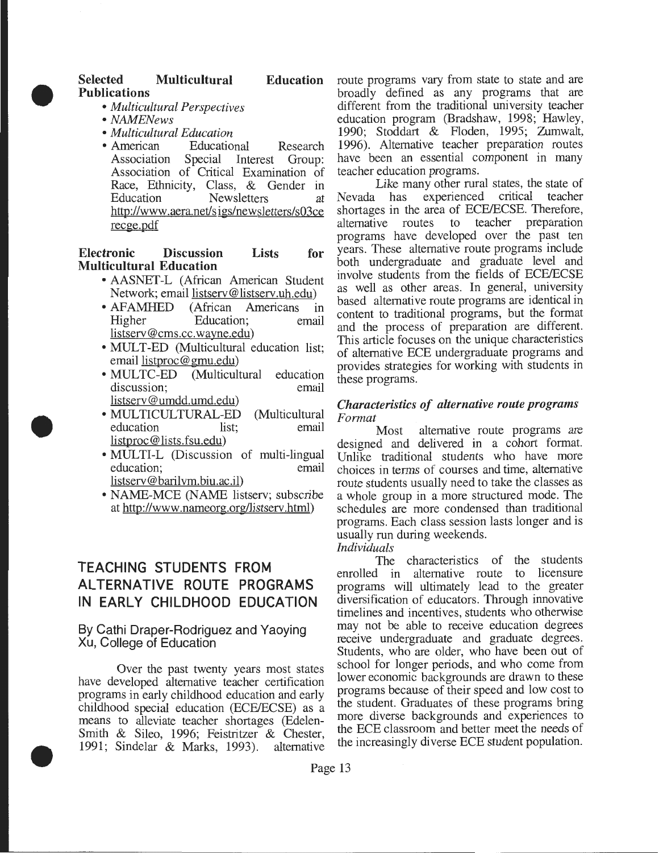

•

#### Selected Multicultural Education Publications

- *Multicultural Perspectives*
- *NAMENews*
- *Multicultural Education*
- Educational Research Association Special Interest Group: Association of Critical Examination of Race, Ethnicity, Class, & Gender in Education Newsletters at http://www .aera.net/s igs/newsletters/s03ce recge.pdf

Electronic Discussion Lists for Multicultural Education

- AASNET-L (African American Student Network; email listserv@listserv.uh.edu)
- AFAMHED (African Americans in Higher Education; email listserv@cms.cc.wayne.edu)
- MULT-ED (Multicultural education list; email listproc@gmu.edu)
- MULTC-ED (Multicultural education discussion: email discussion: listserv @umdd. umd.edu)
- MULTICULTURAL-ED (Multicultural education list; email listproc@ lists.fsu.edu)
- MULTI-L (Discussion of multi-lingual education; email listserv@barilvm.biu.ac.il)
- NAME-MCE (NAME listserv; subscribe at http://www.nameorg.org/listserv.html)

## TEACHING STUDENTS FROM ALTERNATIVE ROUTE PROGRAMS IN EARLY CHILDHOOD EDUCATION

#### By Cathi Draper-Rodriguez and Yaoying Xu, College of Education

• Over the past twenty years most states have developed alternative teacher certification programs in early childhood education and early childhood special education (ECE/ECSE) as a means to alleviate teacher shortages (Edelen-Smith & Sileo, 1996; Feistritzer & Chester, 1991; Sindelar & Marks, 1993). alternative

route programs vary from state to state and are broadly defined as any programs that are different from the traditional university teacher education program (Bradshaw, 1998; Hawley, 1990; Stoddart & Floden, 1995; Zumwalt, 1996). Alternative teacher preparation routes have been an essential component in many teacher education programs.

Like many other rural states, the state of Nevada has experienced critical teacher shortages in the area of ECE/ECSE. Therefore, alternative routes to teacher preparation programs have developed over the past ten years. These alternative route programs include both undergraduate and graduate level and involve students from the fields of ECE/ECSE as well as other areas. In general, university based alternative route programs are identical in content to traditional programs, but the format and the process of preparation are different. This article focuses on the unique characteristics of alternative ECE undergraduate programs and provides strategies for working with students in these programs.

#### *Characteristics of alternative route programs Format*

Most alternative route programs are designed and delivered in a cohort format. Unlike traditional students who have more choices in terms of courses and time, alternative route students usually need to take the classes as a whole group in a more structured mode. The schedules are more condensed than traditional programs. Each class session lasts longer and is usually run during weekends.

*Individuals* 

The characteristics of the students enrolled in alternative route to licensure programs will ultimately lead to the greater diversification of educators. Through innovative timelines and incentives, students who otherwise may not be able to receive education degrees receive undergraduate and graduate degrees. Students, who are older, who have been out of school for longer periods, and who come from lower economic backgrounds are drawn to these programs because of their speed and low cost to the student. Graduates of these programs bring more diverse backgrounds and experiences to the ECE classroom and better meet the needs of the increasingly diverse ECE student population.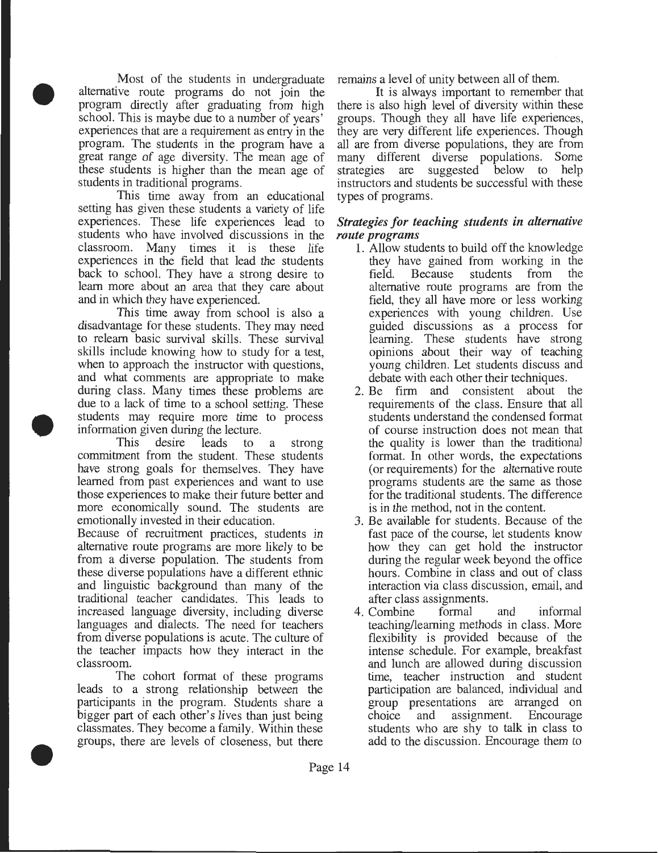$\bullet$ Most of the students in undergraduate alternative route programs do not join the program directly after graduating from high school. This is maybe due to a number of years' experiences that are a requirement as entry in the program. The students in the program have a great range of age diversity. The mean age of these students is higher than the mean age of students in traditional programs.

This time away from an educational setting has given these students a variety of life experiences. These life experiences lead to students who have involved discussions in the classroom. Many times it is these life experiences in the field that lead the students back to school. They have a strong desire to learn more about an area that they care about and in which they have experienced.

 $\bullet$ This time away from school is also a disadvantage for these students. They may need to relearn basic survival skills. These survival skills include knowing how to study for a test, when to approach the instructor with questions, and what comments are appropriate to make during class. Many times these problems are due to a lack of time to a school setting. These students may require more time to process information given during the lecture.

This desire leads to a strong commitment from the student. These students have strong goals for themselves. They have learned from past experiences and want to use those experiences to make their future better and more economically sound. The students are emotionally invested in their education.

Because of recruitment practices, students in alternative route programs are more likely to be from a diverse population. The students from these diverse populations have a different ethnic and linguistic background than many of the traditional teacher candidates. This leads to increased language diversity, including diverse languages and dialects. The need for teachers from diverse populations is acute. The culture of the teacher impacts how they interact in the classroom.

• The cohort format of these programs leads to a strong relationship between the participants in the program. Students share a bigger part of each other's lives than just being classmates. They become a family. Within these groups, there are levels of closeness, but there

remains a level of unity between all of them.

It is always important to remember that there is also high level of diversity within these groups. Though they all have life experiences, they are very different life experiences. Though all are from diverse populations, they are from many different diverse populations. Some strategies are suggested below to help instructors and students be successful with these types of programs.

#### *Strategies for teaching students in alternative route programs*

- 1. Allow students to build off the knowledge they have gained from working in the<br>field. Because students from the field. Because students from the alternative route programs are from the field, they all have more or less working experiences with young children. Use guided discussions as a process for learning. These students have strong opinions about their way of teaching young children. Let students discuss and debate with each other their techniques.
- 2. Be firm and consistent about the requirements of the class. Ensure that all students understand the condensed format of course instruction does not mean that the quality is lower than the traditional format. In other words, the expectations (or requirements) for the alternative route programs students are the same as those for the traditional students. The difference is in the method, not in the content.
- 3. Be available for students. Because of the fast pace of the course, let students know how they can get hold the instructor during the regular week beyond the office hours. Combine in class and out of class interaction via class discussion, email, and after class assignments.
- 4. Combine formal and informal teaching/learning methods in class. More flexibility is provided because of the intense schedule. For example, breakfast and lunch are allowed during discussion time, teacher instruction and student participation are balanced, individual and group presentations are arranged on choice and assignment. Encourage students who are shy to talk in class to add to the discussion. Encourage them to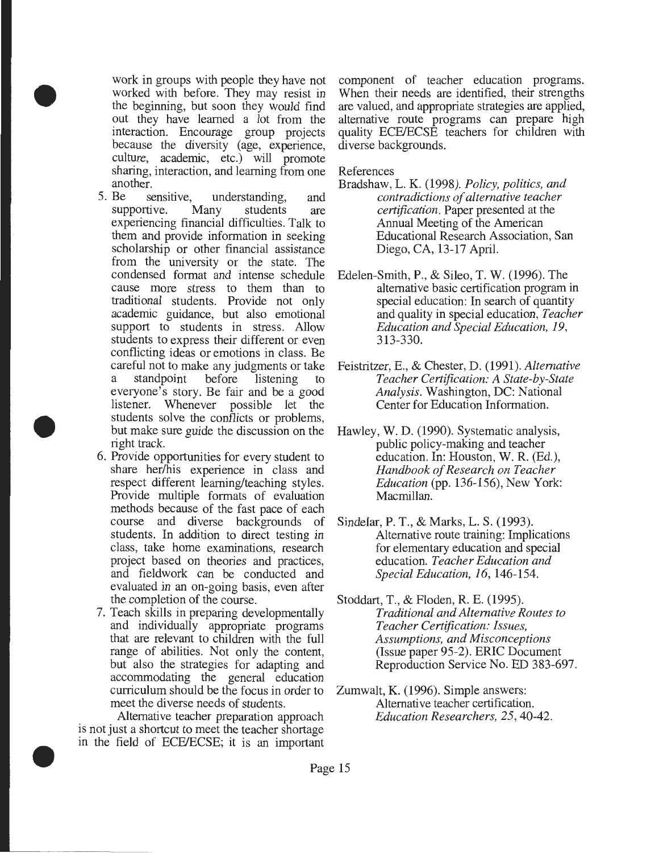work in groups with people they have not worked with before. They may resist in the beginning, but soon they would find out they have learned a lot from the interaction. Encourage group projects because the diversity (age, experience, culture, academic, etc.) will promote sharing, interaction, and learning from one

•

•

- another.<br>5. Be se sensitive, understanding, and<br>tive. Many students are supportive. Many students are experiencing financial difficulties. Talk to them and provide information in seeking scholarship or other financial assistance from the university or the state. The condensed format and intense schedule cause more stress to them than to traditional students. Provide not only academic guidance, but also emotional support to students in stress. Allow students to express their different or even conflicting ideas or emotions in class. Be careful not to make any judgments or take standpoint before listening to everyone's story. Be fair and be a good listener. Whenever possible let the students solve the conflicts or problems, but make sure guide the discussion on the right track.
- 6. Provide opportunities for every student to share her/his experience in class and respect different learning/teaching styles. Provide multiple formats of evaluation methods because of the fast pace of each course and diverse backgrounds of students. In addition to direct testing in class, take home examinations, research project based on theories and practices, and fieldwork can be conducted and evaluated in an on-going basis, even after the completion of the course.
- 7. Teach skills in preparing developmentally and individually appropriate programs that are relevant to children with the full range of abilities. Not only the content, but also the strategies for adapting and accommodating the general education curriculum should be the focus in order to meet the diverse needs of students.

 $\bullet$ Alternative teacher preparation approach is not just a shortcut to meet the teacher shortage in the field of ECFJECSE; it is an important component of teacher education programs. When their needs are identified, their strengths are valued, and appropriate strategies are applied, alternative route programs can prepare high quality ECFJECSE teachers for children with diverse backgrounds.

References

- Bradshaw, L. K. (1998). *Policy, politics, and contradictions of alternative teacher certification.* Paper presented at the Annual Meeting of the American Educational Research Association, San Diego, CA, 13-17 April.
- Edelen-Smith, P., & Sileo, T. W. (1996). The alternative basic certification program in special education: In search of quantity and quality in special education, *Teacher Education and Special Education, 19,*  313-330.
- Feistritzer, E., & Chester, D. (1991). *Alternative Teacher Certification: A State-by-State Analysis.* Washington, DC: National Center for Education Information.
- Hawley, W. D. (1990). Systematic analysis, public policy-making and teacher education. In: Houston, W. R. (Ed.), *Handbook of Research on Teacher Education* (pp. 136-156), New York: Macmillan.
- Sindelar, P. T., & Marks, L. S. (1993). Alternative route training: Implications for elementary education and special education. *Teacher Education and Special Education, 16,* 146-154.
- Stoddart, T., & Floden, R. E. (1995). *Traditional and Alternative Routes to Teacher Certification: Issues, Assumptions, and Misconceptions*  (Issue paper 95-2). ERIC Document Reproduction Service No. ED 383-697.
- Zumwalt, K. (1996). Simple answers: Alternative teacher certification. *Education Researchers, 25,* 40-42.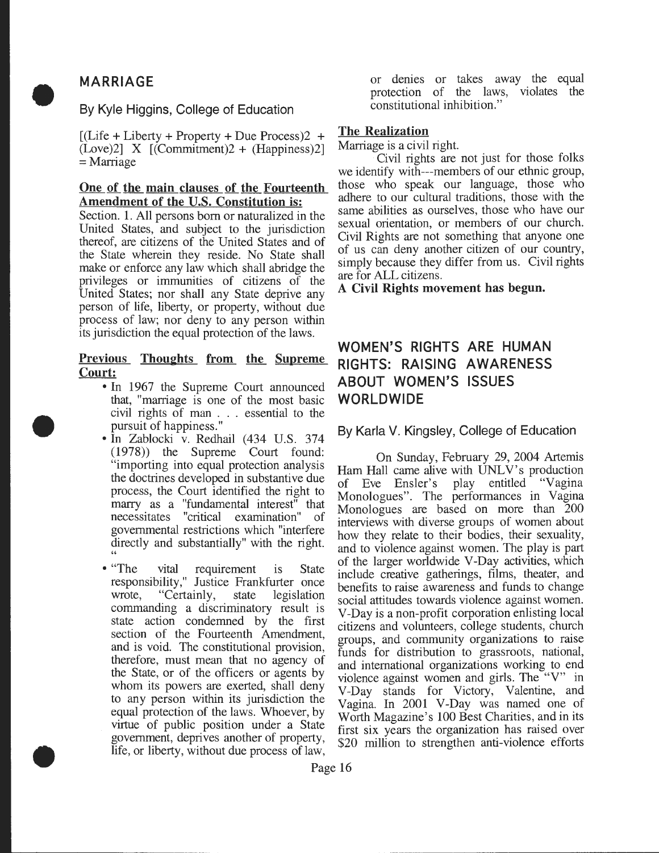## **MARRIAGE**

•

•

#### **By Kyle Higgins, College of Education**

•  $[(\text{Life} + \text{Liberty} + \text{Property} + \text{Due Process})2 +$  $(Love)2$ ] X  $[(Committer)/2 + (Happiness)2]$ =Marriage

#### **One of the main clauses of the Fourteenth**   $A$ mendment of the U.S. Constitution is:

Section. **1.** All persons born or naturalized in the United States, and subject to the jurisdiction thereof, are citizens of the United States and of the State wherein they reside. No State shall make or enforce any law which shall abridge the privileges or immunities of citizens of the United States; nor shall any State deprive any person of life, liberty, or property, without due process of law; nor deny to any person within its jurisdiction the equal protection of the laws.

#### **Previous Thoughts from the Supreme Court:**

- In 1967 the Supreme Court announced that, "marriage is one of the most basic civil rights of man . . . essential to the pursuit of happiness."
- In Zablocki v. Redhail (434 U.S. 374 (1978)) the Supreme Court found: "importing into equal protection analysis the doctrines developed in substantive due process, the Court identified the right to marry as a "fundamental interest" that necessitates "critical examination" of governmental restrictions which "interfere directly and substantially" with the right. "
- "The vital requirement is State responsibility," Justice Frankfurter once wrote, "Certainly, state legislation commanding a discriminatory result is state action condemned by the first section of the Fourteenth Amendment, and is void. The constitutional provision, therefore, must mean that no agency of the State, or of the officers or agents by whom its powers are exerted, shall deny to any person within its jurisdiction the equal protection of the laws. Whoever, by virtue of public position under a State government, deprives another of property, life, or liberty, without due process of law,

or denies or takes away the equal protection of the laws, violates the constitutional inhibition."

#### **The Realization**

Marriage is a civil right.<br>Civil rights are not just for those folks we identify with---members of our ethnic group, those who speak our language, those who adhere to our cultural traditions, those with the same abilities as ourselves, those who have our sexual orientation, or members of our church. Civil Rights are not something that anyone one of us can deny another citizen of our country, simply because they differ from us. Civil nghts are for ALL citizens.

**A Civil Rights movement has begun.** 

## **WOMEN'S RIGHTS ARE HUMAN RIGHTS: RAISING AWARENESS ABOUT WOMEN'S ISSUES WORLDWIDE**

**By Karla V. Kingsley, College of Education** 

On Sunday, February 29, 2004 Artemis Ham Hall came alive with UNLV's production of Eve Ensler's play entitled "Vagina" Monologues". The performances in Vagina Monologues are based on more than 200 interviews with diverse groups of women about how they relate to their bodies, their sex\_uality, and to violence against women. The play is part of the larger worldwide V -Day activities, which include creative gatherings, films, theater, and benefits to raise awareness and funds to change social attitudes towards violence against women. V -Day is a non-profit corporation enlisting local citizens and volunteers, college students, church groups, and community organizations to raise funds for distribution to grassroots, national, and international organizations working to end violence against women and girls. The "V" in V-Day stands for Victory, Valentme, and Vagina. In 2001 V-Day was named one of Worth Magazine's 100 Best Charities, and in its first six years the organization has raised over \$20 million to strengthen anti-violence efforts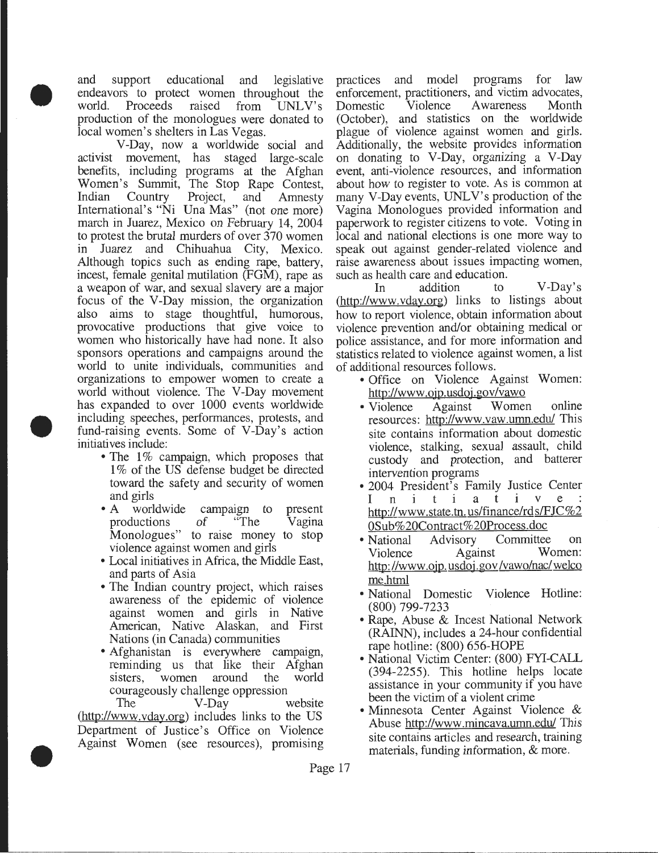• and support educational and legislative endeavors to protect women throughout the<br>world. Proceeds raised from UNLV's world. Proceeds production of the monologues were donated to local women's shelters in Las Vegas.

• V-Day, now a worldwide social and activist movement, has staged large-scale benefits, including programs at the Afghan Women's Summit, The Stop Rape Contest, Indian Country Project, and Amnesty International's "Ni Una Mas" (not one more) march in Juarez, Mexico on February 14, 2004 to protest the brutal murders of over 370 women in Juarez and Chihuahua City, Mexico. Although topics such as ending rape, battery, incest, female genital mutilation (FGM), rape as a weapon of war, and sexual slavery are a major focus of the V-Day mission, the organization also aims to stage thoughtful, humorous, provocative productions that give voice to women who historically have had none. It also sponsors operations and campaigns around the world to unite individuals, communities and organizations to empower women to create a world without violence. The V-Day movement has expanded to over 1000 events worldwide including speeches, performances, protests, and fund-raising events. Some of V-Day's action initiatives include:

- The 1% campaign, which proposes that 1% of the US defense budget be directed toward the safety and security of women and girls
- A worldwide campaign to productions of "The productions Monologues" to raise money to stop violence against women and girls present Vagina
- Local initiatives in Africa, the Middle East, and parts of Asia
- The Indian country project, which raises awareness of the epidemic of violence against women and girls in Native American, Native Alaskan, and First Nations (in Canada) communities
- Afghanistan is everywhere campaign, reminding us that like their Afghan sisters, women around the world courageously challenge oppression

• The V-Day website (http://www.vday.org) includes links to the US Department of Justice's Office on Violence Against Women (see resources), promising

practices and model programs for law enforcement, practitioners, and victim advocates,<br>Domestic Violence Awareness Month Domestic Violence Awareness (October), and statistics on the worldwide plague of violence against women and girls. Additionally, the website provides information on donating to V-Day, organizing a V-Day event, anti-violence resources, and information about how to register to vote. As is common at many V-Day events, UNLV's production of the Vagina Monologues provided information and paperwork to register citizens to vote. Voting in local and national elections is one more way to speak out against gender-related violence and raise awareness about issues impacting women, such as health care and education.

In addition to V-Day's (http://www.vday.org) links to listings about how to report violence, obtain information about violence prevention and/or obtaining medical or police assistance, and for more information and statistics related to violence against women, a list of additional resources follows.

- Office on Violence Against Women: http://www.ojp.usdoj.gov/vawo
- Violence Against Women online resources: http://www.vaw.umn.edu/ This site contains information about domestic violence, stalking, sexual assault, child custody and protection, and batterer intervention programs
- 2004 President's Family Justice Center<br>
In i t i a t i v e :<br>
http://www.etet.tp.us/finance/rds/EIC%2 http://www.state.tn.us/finance/rds/FJC%2 0Sub%20Contract%20Process.doc
- National Advisory Committee on Violence Against Women: Violence Against http://www .ojp. usdoj. gov /vawo/nac/ welco me.html
- National Domestic Violence Hotline: (800) 799-7233
- Rape, Abuse & Incest National Network (RAINN), includes a 24-hour confidential rape hotline: (800) 656-HOPE
- National Victim Center: (800) FYI-CALL (394-2255). This hotline helps locate assistance in your community if you have been the victim of a violent crime
- Minnesota Center Against Violence & Abuse http://www.mincava.umn.edu/ This site contains articles and research, training materials, funding information, & more.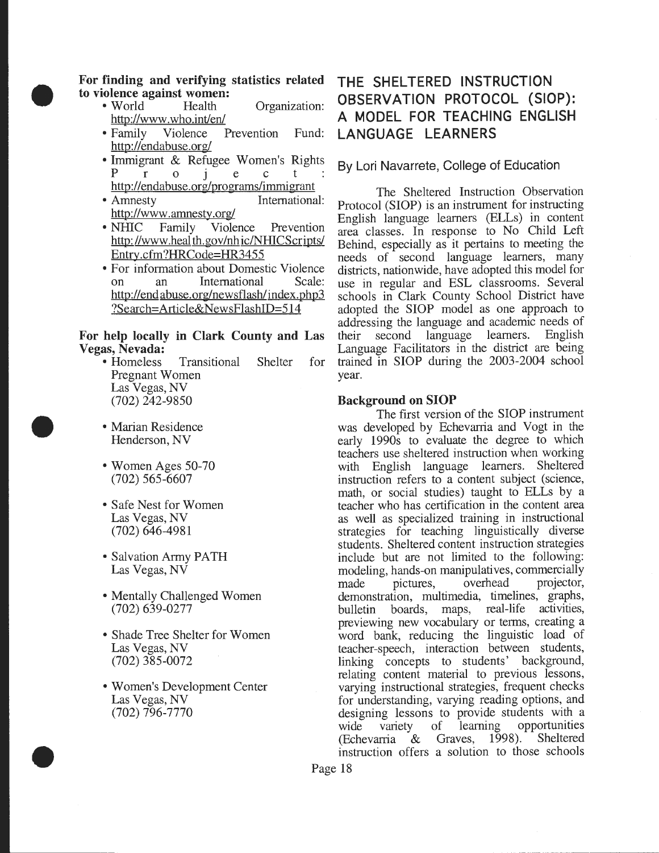

•

•

For finding and verifying statistics related to violence against women:<br>• World Health

- Health Organization: http://www.who.int/en/
- Family Violence Prevention Fund: http://endabuse.org/
- $P \nvert r$  o i e c t : By Lori Navarrete, College of Education • Immigrant & Refugee Women's Rights http://endabuse.org/programs/immigrant
- Amnesty International: http://www.amnesty.org/
- NHIC Family Violence Prevention http://www.health.gov/nhic/NHICScripts/ Entry.cfm?HRCode=HR3455
- For information about Domestic Violence on an International Scale: http://end abuse.org/newsflash/index.php3 ?Search=Article&NewsFlashiD=514

#### For help locally in Clark County and Las Vegas, Nevada:

- Homeless Transitional Shelter for Pregnant Women Las Vegas, NV (702) 242-9850
- Marian Residence Henderson, NV
- Women Ages 50-70 (702) 565-6607
- Safe Nest for Women Las Vegas, NV (702) 646-4981
- Salvation Army PATH Las Vegas, NV
- Mentally Challenged Women (702) 639-0277
- Shade Tree Shelter for Women Las Vegas, NV (702) 385-0072
- Women's Development Center Las Vegas, NV (702) 796-7770

## THE SHELTERED INSTRUCTION OBSERVATION PROTOCOL (SlOP): A MODEL FOR TEACHING ENGLISH LANGUAGE LEARNERS

The Sheltered Instruction Observation Protocol (SlOP) is an instrument for instructing English language learners (ELLs) in content area classes. In response to No Child Left Behind, especially as it pertains to meeting the needs of second language learners, many districts, nationwide, have adopted this model for use in regular and ESL classrooms. Several schools in Clark County School District have adopted the SlOP model as one approach to addressing the language and academic needs of their second language learners. English Language Facilitators in the district are being trained in SlOP during the 2003-2004 school year.

#### Background on SlOP

The first version of the SlOP instrument was developed by Echevarria and Vogt in the early 1990s to evaluate the degree to which teachers use sheltered instruction when working with English language learners. Sheltered instruction refers to a content subject (science, math, or social studies) taught to ELLs by a teacher who has certification in the content area as well as specialized training in instructional strategies for teaching linguistically diverse students. Sheltered content instruction strategies include but are not limited to the following: modeling, hands-on manipulatives, commercially made pictures, overhead projector, demonstration, multimedia, timelines, graphs, bulletin boards, maps, real-life activities, previewing new vocabulary or terms, creating a word bank, reducing the linguistic load of teacher-speech, interaction between students, linking concepts to students' background, relating content material to previous lessons, varying instructional strategies, frequent checks for understanding, varying reading options, and designing lessons to provide students with a wide variety of learning opportunities (Echevarria & Graves, 1998). Sheltered instruction offers a solution to those schools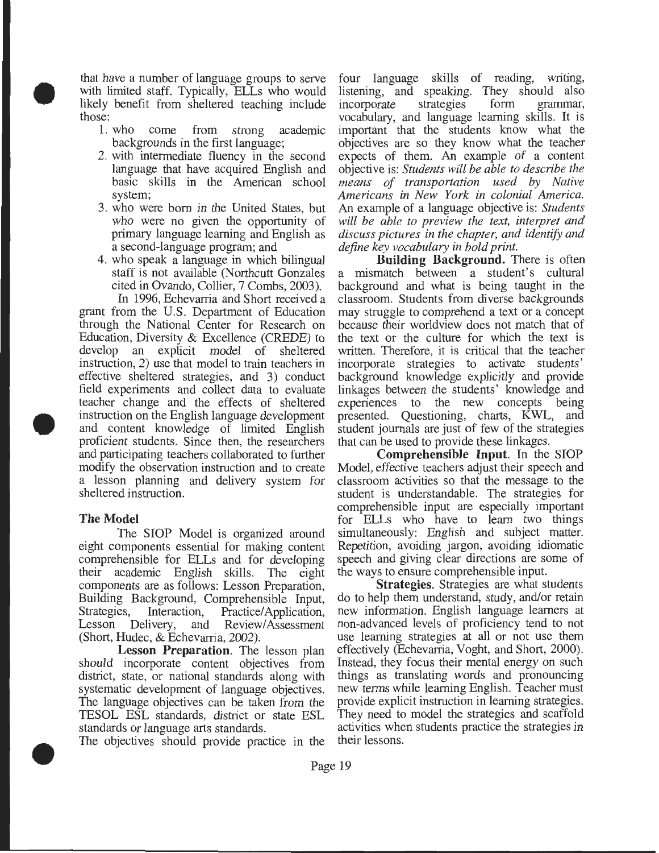• that have a number of language groups to serve with limited staff. Typically, ELLs who would likely benefit from sheltered teaching include those:

- 1. who come from strong academic backgrounds in the first language;
- 2. with intermediate fluency in the second language that have acquired English and basic skills in the American school system;
- 3. who were born in the United States, but who were no given the opportunity of primary language learning and English as a second-language program; and
- 4. who speak a language in which bilingual staff is not available (Northcutt Gonzales cited in Ovando, Collier, 7 Combs, 2003).

• In 1996, Echevarria and Short received a grant from the U.S. Department of Education through the National Center for Research on Education, Diversity & Excellence (CREDE) to develop an explicit model of sheltered instruction, 2) use that model to train teachers in effective sheltered strategies, and 3) conduct field experiments and collect data to evaluate teacher change and the effects of sheltered instruction on the English language development and content knowledge of limited English proficient students. Since then, the researchers and participating teachers collaborated to further modify the observation instruction and to create a lesson planning and delivery system for sheltered instruction.

#### **The Model**

The SlOP Model is organized around eight components essential for making content comprehensible for ELLs and for developing their academic English skills. The eight components are as follows: Lesson Preparation, Building Background, Comprehensible Input, Strategies, Interaction, Practice/Application,<br>Lesson Delivery, and Review/Assessment and Review/Assessment (Short, Hudec, & Echevarria, 2002).

**Lesson Preparation.** The lesson plan should incorporate content objectives from district, state, or national standards along with systematic development of language objectives. The language objectives can be taken from the TESOL ESL standards, district or state ESL standards or language arts standards.

• The objectives should provide practice in the

four language skills of reading, writing, listening, and speaking. They should also incorporate strategies form grammar, incorporate strategies form grammar, vocabulary, and language learning skills. It is important that the students know what the objectives are so they know what the teacher expects of them. An example of a content objective is: *Students will be able to describe the means of transportation used by Native Americans in New York in colonial America.*  An example of a language objective is: *Students will be able to preview the text, interpret and discuss pictures in the chapter, and identify and define key vocabulary in bold print.* 

**Building Background.** There is often a mismatch between a student's cultural background and what is being taught in the classroom. Students from diverse backgrounds may struggle to comprehend a text or a concept because their worldview does not match that of the text or the culture for which the text is written. Therefore, it is critical that the teacher incorporate strategies to activate students' background knowledge explicitly and provide linkages between the students' knowledge and experiences to the new concepts being presented. Questioning, charts, KWL, and student journals are just of few of the strategies that can be used to provide these linkages.

**Comprehensible Input.** In the SlOP Model, effective teachers adjust their speech and classroom activities so that the message to the student is understandable. The strategies for comprehensible input are especially important for ELLs who have to learn two things simultaneously: English and subject matter. Repetition, avoiding jargon, avoiding idiomatic speech and giving clear directions are some of the ways to ensure comprehensible input.

**Strategies.** Strategies are what students do to help them understand, study, and/or retain new information. English language learners at non-advanced levels of proficiency tend to not use learning strategies at all or not use them effectively (Echevarria, Voght, and Short, 2000). Instead, they focus their mental energy on such things as translating words and pronouncing new terms while learning English. Teacher must provide explicit instruction in learning strategies. They need to model the strategies and scaffold activities when students practice the strategies in their lessons.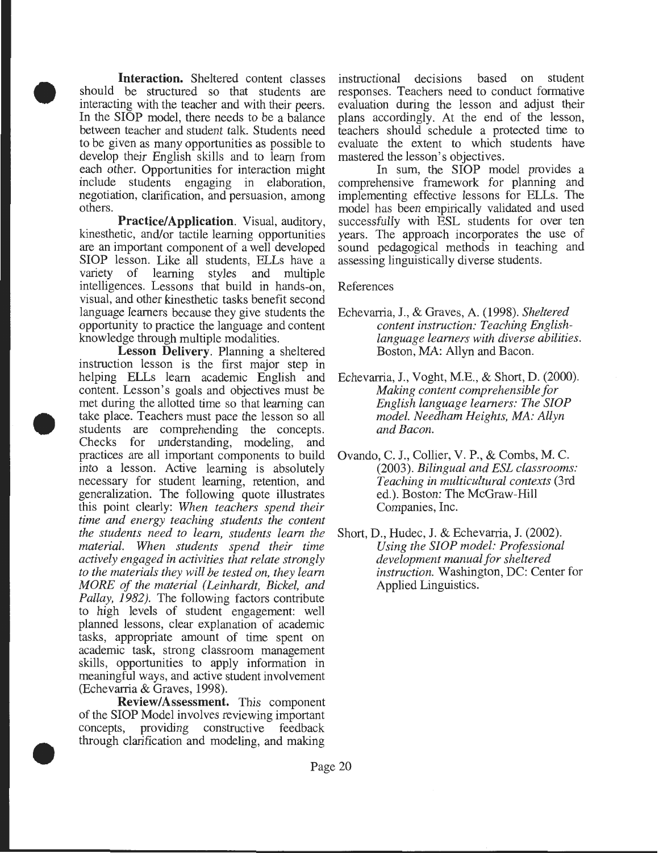$\bullet$ **Interaction.** Sheltered content classes should be structured so that students are interacting with the teacher and with their peers. In the SlOP model, there needs to be a balance between teacher and student talk. Students need to be given as many opportunities as possible to develop their English skills and to learn from each other. Opportunities for interaction might include students engaging in elaboration, negotiation, clarification, and persuasion, among others.

> **Practice/Application.** Visual, auditory, kinesthetic, and/or tactile learning opportunities are an important component of a well developed SlOP lesson. Like all students, ELLs have a variety of learning styles and multiple intelligences. Lessons that build in hands-on, visual, and other kinesthetic tasks benefit second language learners because they give students the opportunity to practice the language and content knowledge through multiple modalities.

 $\begin{array}{c}\n\bullet & \stackrel{1}{\shortparallel} \\
\bullet & \stackrel{1}{\shortparallel} \\
\bullet & \stackrel{1}{\shortparallel} \\
\bullet & \stackrel{1}{\shortparallel} \\
\bullet & \stackrel{1}{\shortparallel} \\
\bullet & \stackrel{1}{\shortparallel} \\
\bullet & \stackrel{1}{\shortparallel} \\
\bullet & \stackrel{1}{\shortparallel} \\
\bullet & \stackrel{1}{\shortparallel} \\
\bullet & \stackrel{1}{\shortparallel} \\
\bullet & \stackrel{1}{\shortparallel} \\
\bullet & \stackrel{1}{\shortparallel} \\
\bullet & \stackrel{1}{\shortparallel} \\
\bullet & \stackrel{1}{\shortparallel} \\
\bullet & \stackrel{1}{\shortparallel} \\
\bullet$ **Lesson Delivery.** Planning a sheltered instruction lesson is the first major step in helping ELLs learn academic English and content. Lesson's goals and objectives must be met during the allotted time so that learning can take place. Teachers must pace the lesson so all students are comprehending the concepts. Checks for understanding, modeling, and practices are all important components to build into a lesson. Active learning is absolutely necessary for student learning, retention, and generalization. The following quote illustrates this point clearly: *When teachers spend their time and energy teaching students the content the students need to learn, students learn the material. When students spend their time actively engaged in activities that relate strongly to the materials they will be tested on, they learn MORE of the material (Leinhardt, Bickel, and*  Pallay, 1982). The following factors contribute to high levels of student engagement: well planned lessons, clear explanation of academic tasks, appropriate amount of time spent on academic task, strong classroom management skills, opportunities to apply information in meaningful ways, and active student involvement (Echevarria & Graves, 1998).

• ' **Review/Assessment.** This component of the SIOP Model involves reviewing important<br>concepts, providing constructive feedback providing constructive feedback through clarification and modeling, and making

instructional decisions based on student responses. Teachers need to conduct formative evaluation during the lesson and adjust their plans accordingly. At the end of the lesson, teachers should schedule a protected time to evaluate the extent to which students have mastered the lesson's objectives.

In sum, the SlOP model provides a comprehensive framework for planning and implementing effective lessons for ELLs. The model has been empirically validated and used successfully with ESL students for over ten years. The approach incorporates the use of sound pedagogical methods in teaching and assessing linguistically diverse students.

References

- Echevarria, J., & Graves, A. (1998). *Sheltered content instruction: Teaching Englishlanguage learners with diverse abilities.*  Boston, MA: Allyn and Bacon.
- Echevarria, J., Voght, M.E., & Short, D. (2000). *Making content comprehensible for English language learners: The SlOP model. Needham Heights, MA: Allyn and Bacon.*
- Ovando, C. J., Collier, V. P., & Combs, M. C. (2003). *Bilingual and ESL classrooms: Teaching in multicultural contexts* (3rd ed.). Boston: The McGraw-Hill Companies, Inc.
- Short, D., Hudec, J. & Echevarria, J. (2002). *Using the SlOP model: Professional development manual for sheltered instruction.* Washington, DC: Center for Applied Linguistics.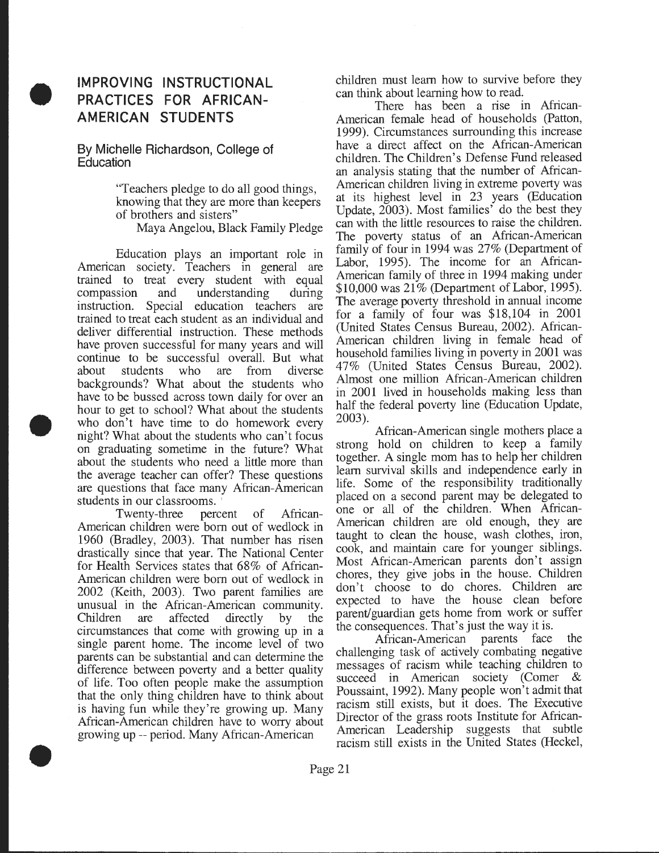## • **IMPROVING INSTRUCTIONAL PRACTICES FOR AFRICAN-AMERICAN STUDENTS**

By Michelle Richardson, College of **Education** 

> "Teachers pledge to do all good things, knowmg that they are more than keepers of brothers and sisters"

Maya Angelou, Black Family Pledge

• Education plays an important role in American society. Teachers in general are trained to treat every student with equal compassion and understanding during instruction. Special education teachers are trained to treat each student as an individual and deliver differential instruction. These methods have proven successful for many years and will contmue to be successful overall. But what about students who are from diverse backgrounds? What about the students who have to be bussed across town daily for over an hour to get to school? What about the students who don't have time to do homework every night? What about the students who can't focus on graduating sometime in the future? What about the students who need a little more than the average teacher can offer? These questions are questions that face many African-American students in our classrooms. '

• Twenty-three percent of African-American children were born out of wedlock in 1960 (Bradley, 2003). That number has risen drastically since that year. The National Center for Health Services states that 68% of African-American children were born out of wedlock in 2002 (Keith, 2003). Two parent families are unusual in the African-American community. Children are affected directly by the circumstances that come with growing up in a single parent home. The income level of two parents can be substantial and can determine the difference between poverty and a better quality of hfe. Too often people make the assumption that the only thing children have to think about is having fun while they're growing up. Many African-American children have to worry about growing up -- period. Many African-American

children must learn how to survive before they can think about learning how to read.

There has been a rise in African-American female head of households (Patton, 1999). Circumstances surrounding this increase have a direct affect on the African-American children. The Children's Defense Fund released an analysis stating that the number of African-American children living in extreme poverty was at its highest level in 23 years (Education Update, 2003). Most families<sup>'</sup> do the best they can with the little resources to raise the children. The poverty status of an African-American family of four in 1994 was 27% (Department of Labor, 1995). The income for an African-American family of three in 1994 making under \$10,000 was 21% (Department of Labor, 1995). The average poverty threshold in annual income for a family of four was \$18,104 in 2001 (United States Census Bureau, 2002). African-American children living in female head of household families living in poverty in 2001 was 47% (United States Census Bureau, 2002). Almost one million African-American children in 2001 lived in households making less than half the federal poverty line (Education Update, 2003).

African-American single mothers place a strong hold on children to keep a family together. A single mom has to help her children learn survival skills and independence early in hfe. Some of the responsibility traditionally placed on a second parent may be delegated to one or all of the children. When African-American children are old enough, they are taught to clean the house, wash clothes, iron, cook, and maintain care for younger siblings. Most African-American parents don't assign chores, they give jobs in the house. Children don't choose to do chores. Children are expected to have the house clean before parent/guardian gets home from work or suffer the consequences. That's just the way it is.

African-American parents face the challenging task of actively combating negative messages of racism while teaching children to succeed in American society (Comer & Poussaint, 1992). Many people won't admit that racism still exists, but it does. The Executive Director of the grass roots Institute for African-American Leadership suggests that subtle racism still exists in the United States (Heckel,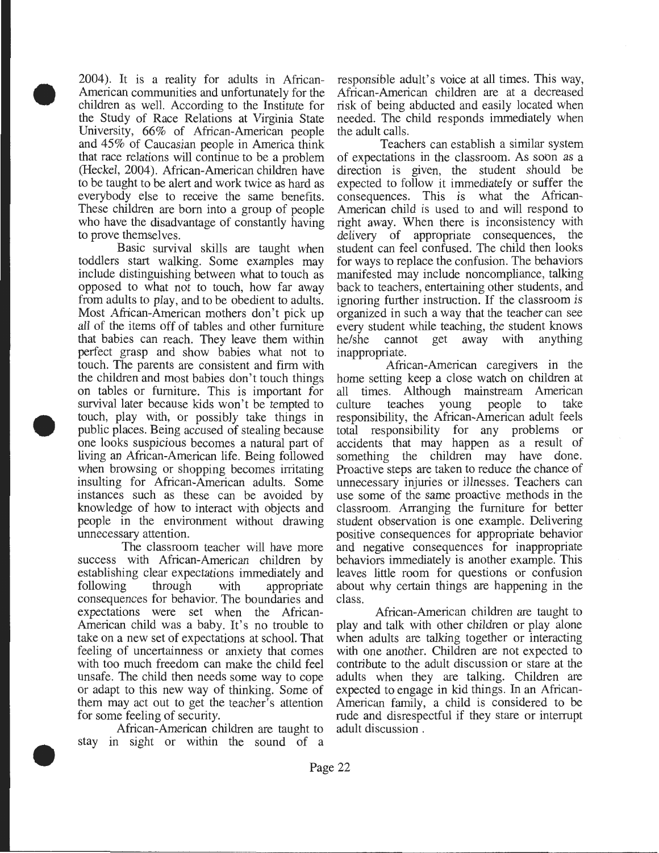$\bullet$ 2004). It is a reality for adults in African-American communities and unfortunately for the children as well. According to the Institute for the Study of Race Relations at Virginia State University, 66% of African-American people and 45% of Caucasian people in America think that race relations will continue to be a problem (Heckel, 2004). African-American children have to be taught to be alert and work twice as hard as everybody else to receive the same benefits. These children are born into a group of people who have the disadvantage of constantly having to prove themselves.

 $\begin{array}{c}\n\bullet & \circ \\
\bullet & \circ \\
\bullet & \circ \\
\bullet & \circ \\
\bullet & \circ\n\end{array}$ Basic survival skills are taught when toddlers start walking. Some examples may include distinguishing between what to touch as opposed to what not to touch, how far away from adults to play, and to be obedient to adults. Most African-American mothers don't pick up all of the items off of tables and other furniture that babies can reach. They leave them within perfect grasp and show babies what not to touch. The parents are consistent and firm with the children and most babies don't touch things on tables or furniture. This is important for survival later because kids won't be tempted to touch, play with, or possibly take things in public places. Being accused of stealing because one looks suspicious becomes a natural part of living an African-American life. Being followed when browsing or shopping becomes irritating insulting for African-American adults. Some instances such as these can be avoided by knowledge of how to interact with objects and people in the environment without drawing unnecessary attention.

> The classroom teacher will have more success with African-American children by establishing clear expectations immediately and following through with appropriate consequences for behavior. The boundaries and expectations were set when the African-American child was a baby. It's no trouble to take on a new set of expectations at school. That feeling of uncertainness or anxiety that comes with too much freedom can make the child feel unsafe. The child then needs some way to cope or adapt to this new way of thinking. Some of them may act out to get the teacher's attention for some feeling of security.

 $\bullet$ African-American children are taught to stay in sight or within the sound of a responsible adult's voice at all times. This way, African-American children are at a decreased risk of being abducted and easily located when needed. The child responds immediately when the adult calls.

Teachers can establish a similar system of expectations in the classroom. As sonn as a direction is given, the student should be expected to follow it immediately or suffer the consequences. This is what the African-American child is used to and will respond to right away. When there is inconsistency with delivery of appropriate consequences, the student can feel confused. The child then looks for ways to replace the confusion. The behaviors manifested may include noncompliance, talking back to teachers, entertaining other students, and ignoring further instruction. If the classroom is organized in such a way that the teacher can see every student while teaching, the student knows he/she cannot get away with anything inappropriate.

African-American caregivers in the home setting keep a close watch on children at all times. Although mainstream American culture teaches young people to take responsibility, the African-American adult feels total responsibility for any problems or accidents that may happen as a result of something the children may have done. Proactive steps are taken to reduce the chance of unnecessary injuries or illnesses. Teachers can use some of the same proactive methods in the classroom. Arranging the furniture for better student observation is one example. Delivering positive consequences for appropriate behavior and negative consequences for inappropriate behaviors immediately is another example. This leaves little room for questions or confusion about why certain things are happening in the class.

African-American children are taught to play and talk with other children or play alone when adults are talking together or interacting with one another. Children are not expected to contribute to the adult discussion or stare at the adults when they are talking. Children are expected to engage in kid things. In an African-American family, a child is considered to be rude and disrespectful if they stare or interrupt adult discussion .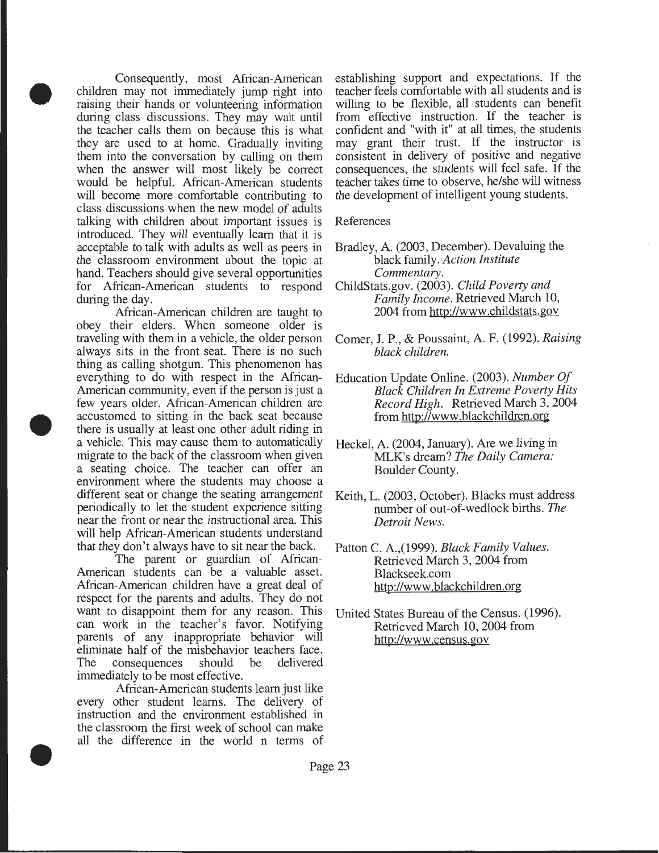• Consequently, most African-American children may not immediately jump right into raising their hands or volunteering information during class discussions. They may wait until the teacher calls them on because this is what they are used to at home. Gradually inviting them into the conversation by calling on them when the answer will most likely be correct would be helpful. African-American students will become more comfortable contributing to class discussions when the new model of adults talking with children about important issues is introduced. They will eventually learn that it is acceptable to talk with adults as well as peers in the classroom environment about the topic at hand. Teachers should give several opportunities for African-American students to respond during the day.

• African-American children are taught to obey their elders. When someone older is traveling with them in a vehicle, the older person always sits in the front seat. There is no such thing as calling shotgun. This phenomenon has everything to do with respect in the African-American community, even if the person is just a few years older. African-American children are accustomed to sitting in the back seat because there is usually at least one other adult riding in a vehicle. This may cause them to automatically migrate to the back of the classroom when given a seating choice. The teacher can offer an environment where the students may choose a different seat or change the seating arrangement periodically to let the student experience sitting near the front or near the instructional area. This will help African-American students understand that they don't always have to sit near the back.

> The parent or guardian of African-American students can be a valuable asset. African-American children have a great deal of respect for the parents and adults. They do not want to disappoint them for any reason. This can work in the teacher's favor. Notifying parents of any inappropriate behavior will eliminate half of the misbehavior teachers face. The consequences should be delivered immediately to be most effective.

• African-American students learn just like every other student learns. The delivery of instruction and the environment established in the classroom the first week of school can make all the difference in the world n terms of

establishing support and expectations. If the teacher feels comfortable with all students and is willing to be flexible, all students can benefit from effective instruction. If the teacher is confident and "with it" at all times, the students may grant their trust. If the instructor is consistent in delivery of positive and negative consequences, the students will feel safe. If the teacher takes time to observe, he/she will witness the development of intelligent young students.

#### References

- Bradley, A. (2003, December). Devaluing the black family. *Action Institute Commentary.*
- ChildStats.gov. (2003). *Child Poverty and Family Income.* Retrieved March 10, 2004 from http://www.childstats.gov
- Comer, J. P., & Poussaint, A. F. (1992). *Raising black children.*
- Education Update Online. (2003). *Number Of Black Children In Extreme Poverty Hits Record High.* Retrieved March 3, 2004 from http://www.blackchildren.org
- Heckel, A. (2004, January). Are we living in MLK's dream? *The Daily Camera:*  Boulder County.
- Keith, L. (2003, October). Blacks must address number of out-of-wedlock births. *The Detroit News.*
- Patton C. A.,(1999). *Black Family Values.*  Retrieved March 3, 2004 from Blackseek.com http://www. blackchildren.org
- United States Bureau of the Census. (1996). Retrieved March 10, 2004 from http://www .census. gov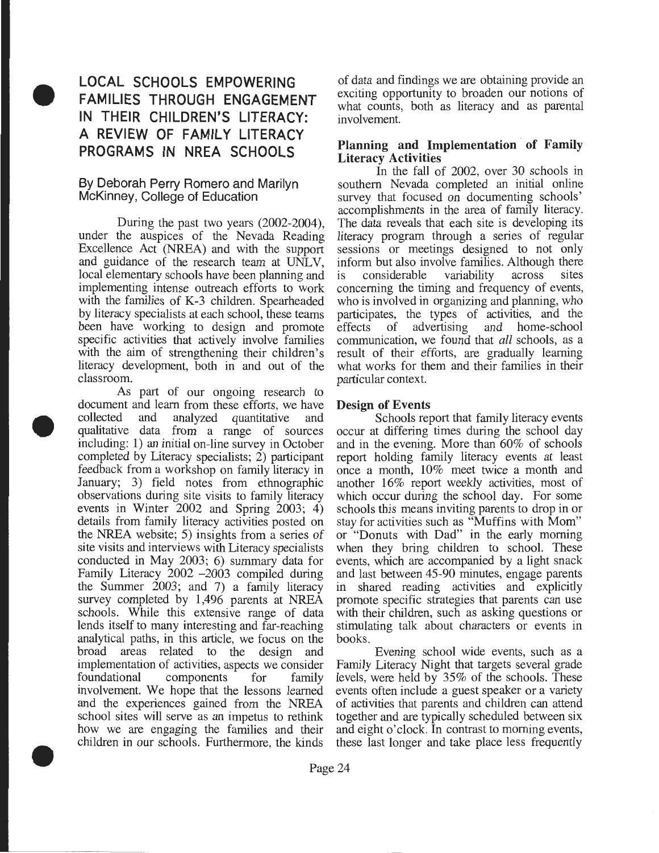## • **LOCAL SCHOOLS EMPOWERING FAMILIES THROUGH ENGAGEMENT IN THEIR CHILDREN'S LITERACY: A REVIEW OF FAMILY LITERACY PROGRAMS IN NREA SCHOOLS**

#### **By Deborah Perry Romero and Marilyn McKinney, College of Education**

During the past two years (2002-2004), under the auspices of the Nevada Reading Excellence Act (NREA) and with the support and guidance of the research team at UNLV, local elementary schools have been planning and implementing intense outreach efforts to work with the families of K-3 children. Spearheaded by literacy specialists at each school, these teams been have working to design and promote specific activities that actively involve families with the aim of strengthening their children's literacy development, both in and out of the classroom.

 $\bullet$  $\bullet$ As part of our ongoing research to document and learn from these efforts, we have collected and analyzed quantitative and qualitative data from a range of sources including: **1)** an initial on-line survey in October completed by Literacy specialists; 2) participant feedback from a workshop on family literacy in January; 3) field notes from ethnographic observations during site visits to family literacy events in Winter 2002 and Spring 2003; 4) details from family literacy activities posted on the NREA website; 5) insights from a series of site visits and interviews with Literacy specialists conducted in May 2003; 6) summary data for Family Literacy 2002 -2003 compiled during the Summer 2003; and 7) a family literacy survey completed by 1,496 parents at NREA schools. While this extensive range of data lends itself to many interesting and far-reaching analytical paths, in this article, we focus on the broad areas related to the design and implementation of activities, aspects we consider foundational components for family involvement. We hope that the lessons learned and the experiences gained from the NREA school sites will serve as an impetus to rethink how we are engaging the families and their children in our schools. Furthermore, the kinds

of data and findings we are obtaining provide an exciting opportunity to broaden our notions of what counts, both as literacy and as parental involvement.

#### **Planning and Implementation of Family Literacy Activities**

In the fall of 2002, over 30 schools in southern Nevada completed an initial online survey that focused on documenting schools' accomplishments in the area of family literacy. The data reveals that each site is developing its literacy program through a series of regular sessions or meetings designed to not only inform but also involve families. Although there is considerable variability across sites concerning the timing and frequency of events, who is involved in organizing and planning, who participates, the types of activities, and the effects of advertising and home-school communication, we found that *all* schools, as a result of their efforts, are gradually learning what works for them and their families in their particular context.

#### **Design of Events**

Schools report that family literacy events occur at differing times during the school day and in the evening. More than 60% of schools report holding family literacy events at least once a month, 10% meet twice a month and another 16% report weekly activities, most of which occur during the school day. For some schools this means inviting parents to drop in or stay for activities such as "Muffins with Mom" or "Donuts with Dad" in the early morning when they bring children to school. These events, which are accompanied by a light snack and last between 45-90 minutes, engage parents in shared reading activities and explicitly promote specific strategies that parents can use with their children, such as asking questions or stimulating talk about characters or events in books.

Evening school wide events, such as a Family Literacy Night that targets several grade levels, were held by 35% of the schools. These events often include a guest speaker or a variety of activities that parents and children can attend together and are typically scheduled between six and eight o'clock. In contrast to morning events, these last longer and take place less frequently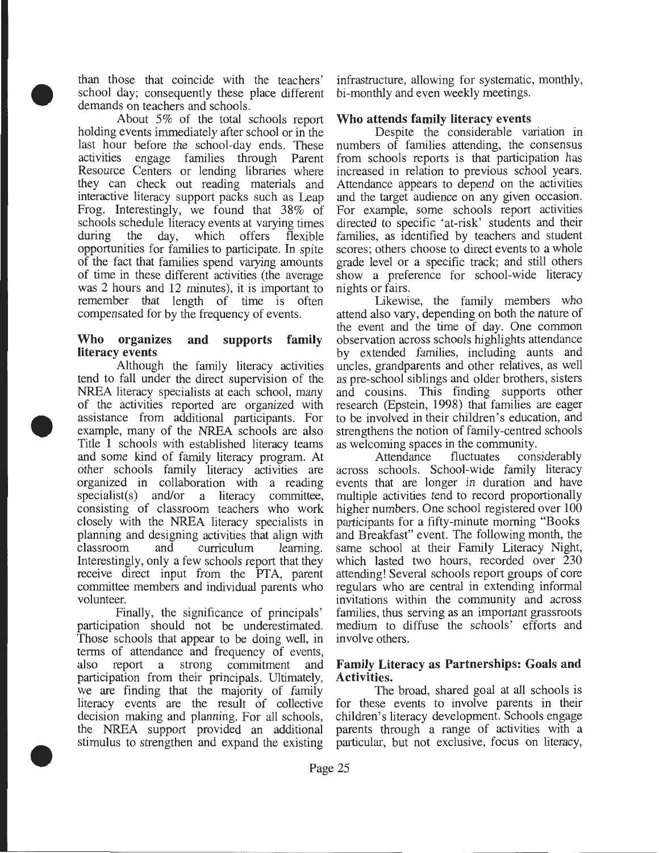than those that coincide with the teachers' school day; consequently these place different demands on teachers and schools.

• About 5% of the total schools report holding events immediately after school or in the last hour before the school-day ends. These activities engage families through Parent Resource Centers or lending libraries where they can check out reading materials and interactive literacy support packs such as Leap Frog. Interestingly, we found that 38% of schools schedule literacy events at varying times during the day, which offers flexible opportunities for families to participate. In spite of the fact that families spend varying amounts of time in these different activities (the average was 2 hours and 12 minutes), it is important to remember that length of time is often compensated for by the frequency of events.

#### **Who organizes and supports family literacy events**

• Although the family literacy activities tend to fall under the direct supervision of the NREA literacy specialists at each school, many of the activities reported are organized with assistance from additional participants. For example, many of the NREA schools are also Title **1** schools with established literacy teams and some kind of family literacy program. At other schools family literacy activities are organized in collaboration with a reading specialist(s) and/or a literacy committee, consisting of classroom teachers who work closely with the NREA literacy specialists in planning and designing activities that align with classroom and curriculum learning. Interestingly, only a few schools report that they receive direct input from the PTA, parent committee members and individual parents who volunteer.

• Finally, the significance of principals' participation should not be underestimated. Those schools that appear to be doing well, in terms of attendance and frequency of events, also report a strong commitment and participation from their principals. Ultimately, we are finding that the majority of family literacy events are the result of collective decision making and planning. For all schools, the NREA support provided an additional stimulus to strengthen and expand the existing

infrastructure, allowing for systematic, monthly, bi-monthly and even weekly meetings.

#### **Who attends family literacy events**

Despite the considerable variation in numbers of families attending, the consensus from schools reports is that participation has increased in relation to previous school years. Attendance appears to depend on the activities and the target audience on any given occasion. For example, some schools report activities directed to specific 'at-risk' students and their families, as identified by teachers and student scores; others choose to direct events to a whole grade level or a specific track; and still others show a preference for school-wide literacy nights or fairs.

Likewise, the family members who attend also vary, depending on both the nature of the event and the time of day. One common observation across schools highlights attendance by extended families, including aunts and uncles, grandparents and other relatives, as well as pre-school siblings and older brothers, sisters and cousins. This finding supports other research (Epstein, 1998) that families are eager to be involved in their children's education, and strengthens the notion of family-centred schools

as welcoming spaces in the community.<br>Attendance fluctuates cons Attendance fluctuates considerably across schools. School-wide family literacy events that are longer in duration and have multiple activities tend to record proportionally higher numbers. One school registered over 100 participants for a fifty-minute morning "Books and Breakfast" event. The following month, the same school at their Family Literacy Night, which lasted two hours, recorded over 230 attending! Several schools report groups of core regulars who are central in extending informal invitations within the community and across families, thus serving as an important grassroots medium to diffuse the schools' efforts and involve others.

#### **Family Literacy as Partnerships: Goals and Activities.**

The broad, shared goal at all schools is for these events to involve parents in their children's literacy development. Schools engage parents through a range of activities with a particular, but not exclusive, focus on literacy,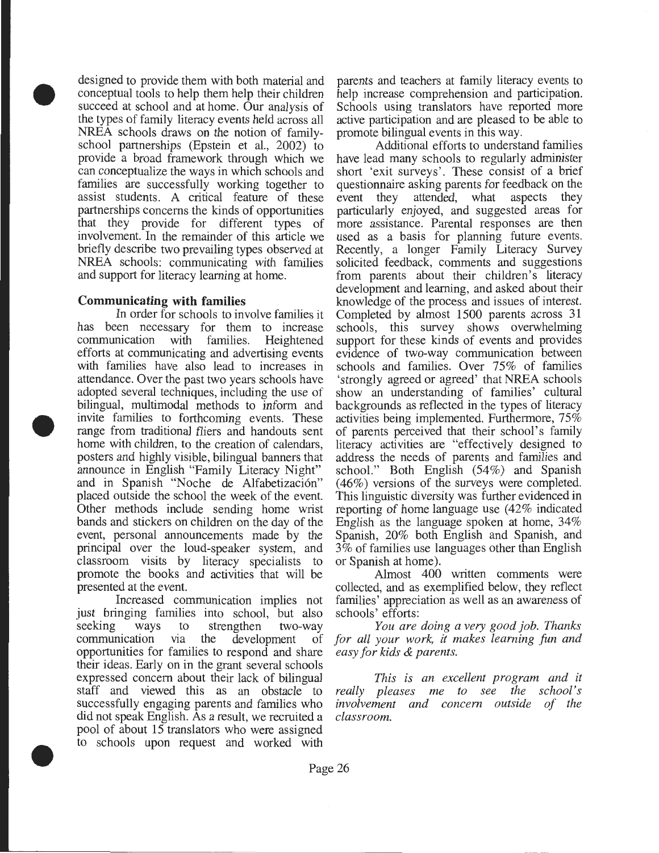$\begin{array}{c}\n\bullet \\
\bullet \\
\bullet \\
\bullet \\
\bullet \\
\bullet \\
\bullet \\
\bullet \\
\bullet\n\end{array}$ designed to provide them with both material and conceptual tools to help them help their children succeed at school and at home. Our analysis of the types of family literacy events held across all NREA schools draws on the notion of familyschool partnerships (Epstein et al., 2002) to provide a broad framework through which we can conceptualize the ways in which schools and families are successfully working together to assist students. A critical feature of these partnerships concerns the kinds of opportunities that they provide for different types of involvement. In the remainder of this article we briefly describe two prevailing types observed at NREA schools: communicating with families and support for literacy learning at home.

#### **Communicating with families**

 $\begin{array}{c}\n\begin{array}{c}\n\downarrow \\
\downarrow \\
\downarrow \\
\downarrow \\
\downarrow \\
\downarrow \\
\downarrow\n\end{array}\n\end{array}$ In order for schools to involve families it has been necessary for them to increase communication with families. Heightened efforts at communicating and advertising events with families have also lead to increases in attendance. Over the past two years schools have adopted several techniques, including the use of bilingual, multimodal methods to inform and invite families to forthcoming events. These range from traditional fliers and handouts sent home with children, to the creation of calendars, posters and highly visible, bilingual banners that announce in English "Family Literacy Night" and in Spanish "Noche de Alfabetización" placed outside the school the week of the event. Other methods include sending home wrist bands and stickers on children on the day of the event, personal announcements made by the principal over the loud-speaker system, and classroom visits by literacy specialists to promote the books and activities that will be presented at the event.

 $\bullet$ Increased communication implies not just bringing families into school, but also seeking ways to strengthen two-way communication via the development of opportunities for families to respond and share their ideas. Early on in the grant several schools expressed concern about their lack of bilingual staff and viewed this as an obstacle to successfully engaging parents and families who did not speak English. As a result, we recruited a pool of about 15 translators who were assigned to schools upon request and worked with

parents and teachers at family literacy events to help increase comprehension and participation. Schools using translators have reported more active participation and are pleased to be able to promote bilingual events in this way.

Additional efforts to understand families have lead many schools to regularly administer short 'exit surveys'. These consist of a brief questionnaire asking parents for feedback on the event they attended, what aspects they event they attended, what aspects particularly enjoyed, and suggested areas for more assistance. Parental responses are then used as a basis for planning future events. Recently, a longer Family Literacy Survey solicited feedback, comments and suggestions from parents about their children's literacy development and learning, and asked about their knowledge of the process and issues of interest. Completed by almost 1500 parents across 31 schools, this survey shows overwhelming support for these kinds of events and provides evidence of two-way communication between schools and families. Over 75% of families 'strongly agreed or agreed' that NREA schools show an understanding of families' cultural backgrounds as reflected in the types of literacy activities being implemented. Furthermore, 75% of parents perceived that their school's family literacy activities are "effectively designed to address the needs of parents and families and school." Both English (54%) and Spanish ( 46%) versions of the surveys were completed. This linguistic diversity was further evidenced in reporting of home language use (42% indicated English as the language spoken at home, 34% Spanish, 20% both English and Spanish, and 3% of families use languages other than English or Spanish at home).

Almost 400 written comments were collected, and as exemplified below, they reflect families' appreciation as well as an awareness of schools' efforts:

*You are doing a very good job. Thanks for all your work, it makes learning fun and easy for kids* & *parents.* 

*This is an excellent program and it really pleases me to see the school's involvement and concern outside of the classroom.*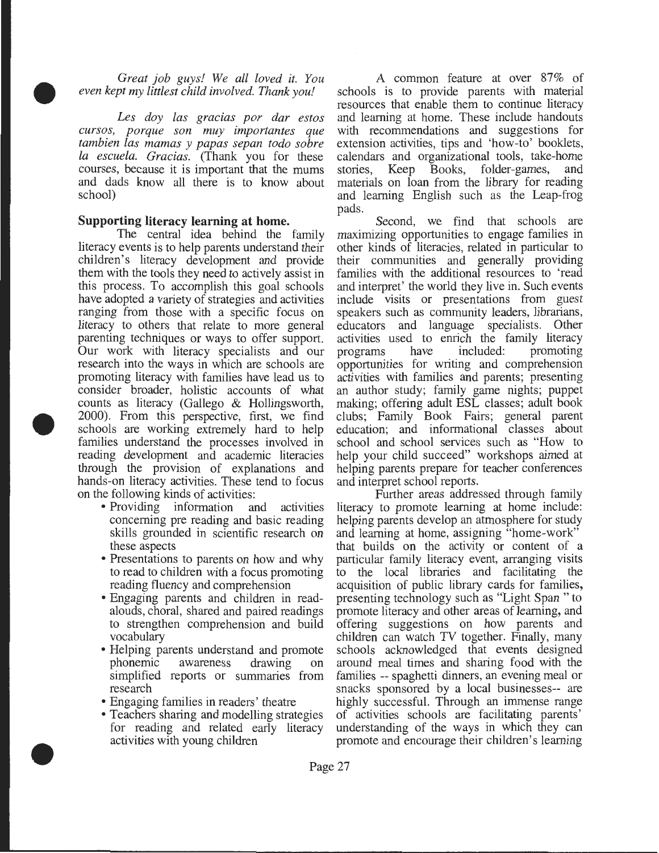*Great job guys! We all loved it. You even kept my littlest child involved. Thank you!* 

 $\bullet$ *Les day las gracias par dar estos cursos, porque son muy importantes que tambien las mamas y papas sepan todo sabre Ia escuela. Gracias.* (Thank you for these courses, because it is important that the mums and dads know all there is to know about school)

#### **Supporting literacy learning at home.**

 $\begin{array}{c}\n\bullet & \circ \\
\bullet & \circ \\
\bullet & \circ \\
\bullet & \circ \\
\bullet & \circ \\
\bullet & \circ \\
\bullet & \circ \\
\bullet & \circ \\
\bullet & \circ \\
\bullet & \circ\n\end{array}$ The central idea behind the family literacy events is to help parents understand their children's literacy development and provide them with the tools they need to actively assist in this process. To accomplish this goal schools have adopted a variety of strategies and activities ranging from those with a specific focus on literacy to others that relate to more general parenting techniques or ways to offer support. Our work with literacy specialists and our research into the ways in which are schools are promoting literacy with families have lead us to consider broader, holistic accounts of what counts as literacy (Gallego & Hollingsworth, 2000). From this perspective, first, we find schools are working extremely hard to help families understand the processes involved in reading development and academic literacies through the provision of explanations and hands-on literacy activities. These tend to focus on the following kinds of activities:

- Providing information and activities concerning pre reading and basic reading skills grounded in scientific research on these aspects
- Presentations to parents on how and why to read to children with a focus promoting reading fluency and comprehension
- Engaging parents and children in readalouds, choral, shared and paired readings to strengthen comprehension and build vocabulary
- Helping parents understand and promote phonemic awareness drawing on simplified reports or summaries from research
- Engaging families in readers' theatre

•

• Teachers sharing and modelling strategies for reading and related early literacy activities with young children

A common feature at over 87% of schools is to provide parents with material resources that enable them to continue literacy and learning at home. These include handouts with recommendations and suggestions for extension activities, tips and 'how-to' booklets, calendars and organizational tools, take-home stories, Keep Books, folder-games, and materials on loan from the library for reading and learning English such as the Leap-frog pads.

Second, we find that schools are maximizing opportunities to engage families in other kinds of literacies, related in particular to their communities and generally providing families with the additional resources to 'read and interpret' the world they live in. Such events include visits or presentations from guest speakers such as community leaders, librarians, educators and language specialists. Other activities used to enrich the family literacy programs have included: promoting opportunities for writing and comprehension activities with families and parents; presenting an author study; family game nights; puppet making; offering adult ESL classes; adult book clubs; Family Book Fairs; general parent education; and informational classes about school and school services such as "How to help your child succeed" workshops aimed at helping parents prepare for teacher conferences and interpret school reports.

Further areas addressed through family literacy to promote learning at home include: helping parents develop an atmosphere for study and learning at home, assigning "home-work" that builds on the activity or content of a particular family literacy event, arranging visits to the local libraries and facilitating the acquisition of public library cards for families, presenting technology such as "Light Span " to promote literacy and other areas of learning, and offering suggestions on how parents and children can watch TV together. Finally, many schools acknowledged that events designed around meal times and sharing food with the families -- spaghetti dinners, an evening meal or snacks sponsored by a local businesses-- are highly successful. Through an immense range of activities schools are facilitating parents' understanding of the ways in which they can promote and encourage their children's learning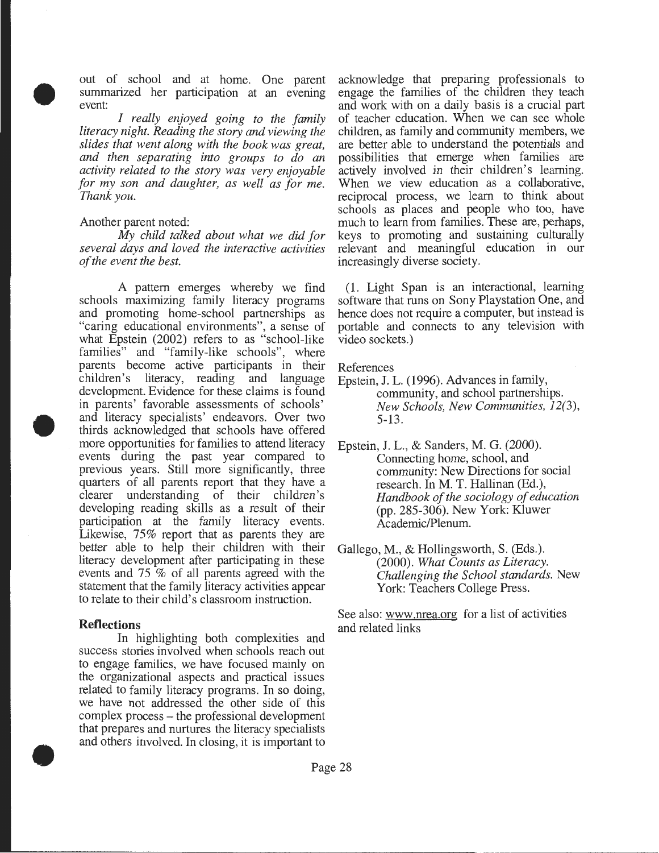• out of school and at home. One parent summarized her participation at an evening event:

*I really enjoyed going to the family literacy night. Reading the story and viewing the slides that went along with the book was great, and then separating into groups to do an activity related to the story was very enjoyable for my son and daughter, as well as for me. Thank you.* 

#### Another parent noted:

*My child talked about what we did for several days and loved the interactive activities of the event the best.* 

• A pattern emerges whereby we find schools maximizing family literacy programs and promoting home-school partnerships as "caring educational environments", a sense of what Epstein (2002) refers to as "school-like families" and "family-like schools", where parents become active participants in their children's literacy, reading and language development. Evidence for these claims is found in parents' favorable assessments of schools' and literacy specialists' endeavors. Over two thirds acknowledged that schools have offered more opportunities for families to attend literacy events during the past year compared to previous years. Still more significantly, three quarters of all parents report that they have a clearer understanding of their children's developing reading skills as a result of their participation at the family literacy events. Likewise, 75% report that as parents they are better able to help their children with their literacy development after participating in these events and  $75\%$  of all parents agreed with the statement that the family literacy activities appear to relate to their child's classroom instruction.

#### **Reflections**

•

In highlighting both complexities and success stories involved when schools reach out to engage families, we have focused mainly on the organizational aspects and practical issues related to family literacy programs. In so doing, we have not addressed the other side of this complex process - the professional development that prepares and nurtures the literacy specialists and others involved. In closing, it is important to

acknowledge that preparing professionals to engage the families of the children they teach and work with on a daily basis is a crucial part of teacher education. When we can see whole children, as family and community members, we are better able to understand the potentials and possibilities that emerge when families are actively involved in their children's learning. When we view education as a collaborative, reciprocal process, we learn to think about schools as places and people who too, have much to learn from families. These are, perhaps, keys to promoting and sustaining culturally relevant and meaningful education in our increasingly diverse society.

(1. Light Span is an interactional, learning software that runs on Sony Playstation One, and hence does not require a computer, but instead is portable and connects to any television with video sockets.)

References

- Epstein, J. L. (1996). Advances in family, community, and school partnerships. *New Schools, New Communities, 12(3),*  5-13 .
- Epstein, J. L., & Sanders, M. G. (2000). Connecting home, school, and community: New Directions for social research. In M. T. Hallinan (Ed.), *Handbook of the sociology of education*  (pp. 285-306). New York: Kluwer Academic/Plenum.
- Gallego, M., & Hollingsworth, S. (Eds.). (2000). *What Counts as Literacy. Challenging the School standards.* New York: Teachers College Press.

See also: www.nrea.org for a list of activities and related links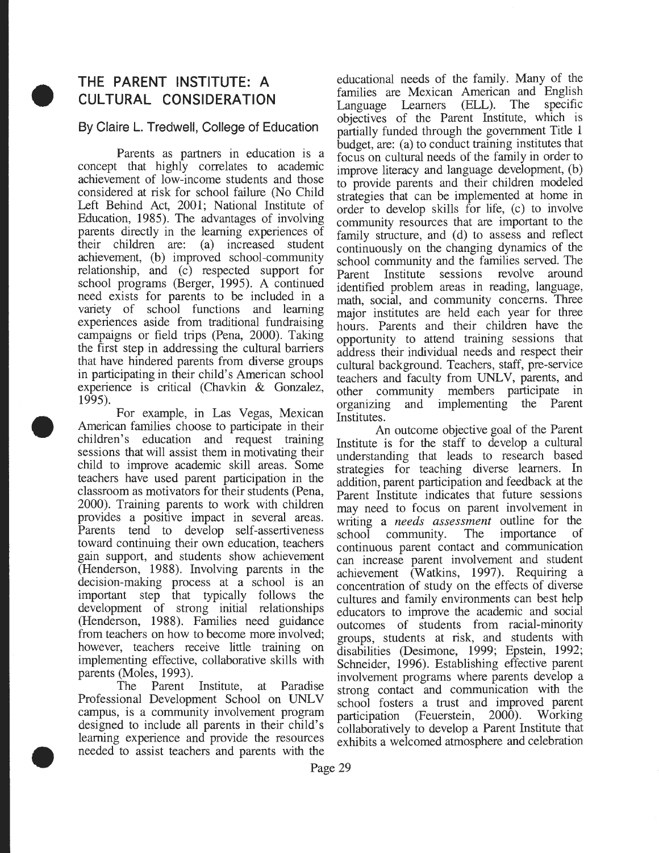# • **THE PARENT INSTITUTE: A CULTURAL CONSIDERATION**

#### **By Claire L. Tredwell, College of Education**

Parents as partners in education is a concept that highly correlates to academic achievement of low-income students and those considered at risk for school failure (No Child Left Behind Act, 2001; National Institute of Education, 1985). The advantages of involving parents directly in the learning experiences of their children are: (a) increased student achievement, (b) improved school-community relationship, and (c) respected support for school programs (Berger, 1995). A continued need exists for parents to be included in a variety of school functions and learning experiences aside from traditional fundraising campaigns or field trips (Pena, 2000). Taking the first step in addressing the cultural barriers that have hindered parents from diverse groups in participating in their child's American school experience is critical (Chavkin & Gonzalez, 1995).

 $\bullet$ For example, in Las Vegas, Mexican American families choose to participate in their children's education and request training sessions that will assist them in motivating their child to improve academic skill areas. Some teachers have used parent participation in the classroom as motivators for their students (Pena, 2000). Training parents to work with children provides a positive impact in several areas. Parents tend to develop self-assertiveness toward continuing their own education, teachers gain support, and students show achievement (Henderson, 1988). Involving parents in the decision-making process at a school is an important step that typically follows the development of strong initial relationships (Henderson, 1988). Families need guidance from teachers on how to become more involved; however, teachers receive little training on implementing effective, collaborative skills with parents (Moles, 1993).

• The Parent Institute, at Paradise Professional Development School on UNLV campus, is a community involvement program designed to include all parents in their child's learning experience and provide the resources needed to assist teachers and parents with the

educational needs of the family. Many of the families are Mexican American and English Language Learners (ELL). The specific objectives of the Parent Institute, which is partially funded through the government Title 1 budget, are: (a) to conduct training institutes that focus on cultural needs of the family in order to improve literacy and language development, (b) to provide parents and their children modeled strategies that can be implemented at home in order to develop skills for life, (c) to mvolve community resources that are important to the family structure, and (d) to assess and reflect continuously on the changing dynamics of the school community and the families served. The Parent Institute sessions revolve around identified problem areas in reading, language, math, social, and community concerns. Three major institutes are held each year for three hours. Parents and their children have the opportunity to attend training sessions that address their individual needs and respect their cultural background. Teachers, staff, pre-service teachers and faculty from UNLV, parents, and other community members participate in organizing and implementing the Parent Institutes .

An outcome objective goal of the Parent Institute is for the staff to develop a cultural understanding that leads to research based strategies for teaching diverse learners. In addition, parent participation and feedback at the Parent Institute indicates that future sessions may need to focus on parent involvement in writing a *needs* assessment outline for the school community. The importance of continuous parent contact and communication can increase parent involvement and student achievement (Watkins, 1997). Requiring a concentration of study on the effects of diverse cultures and family environments can best help educators to improve the academic and social outcomes of students from racial-minority groups, students at risk, and students with disabilities (Desimone, 1999; Epstem, 1992; Schneider, 1996). Establishing effective parent involvement programs where parents develop a strong contact and communication with the school fosters a trust and improved parent participation (Feuerstein, 2000). Working collaboratively to develop a Parent Institute that exhibits a welcomed atmosphere and celebration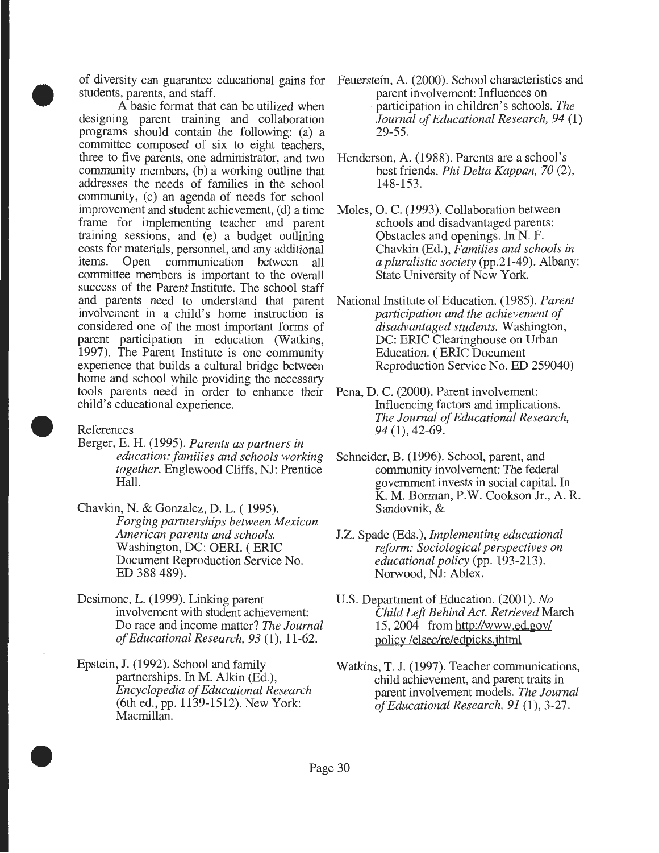of diversity can guarantee educational gains for students, parents, and staff.

• A basic format that can be utilized when designing parent training and collaboration programs should contain the following: (a) a committee composed of six to eight teachers, three to five parents, one administrator, and two community members, (b) a working outline that addresses the needs of families in the school community, (c) an agenda of needs for school improvement and student achievement, (d) a time frame for implementing teacher and parent training sessions, and (e) a budget outlining costs for materials, personnel, and any additional<br>items. Open communication between all Open communication between all committee members is important to the overall success of the Parent Institute. The school staff and parents need to understand that parent involvement in a child's home instruction is considered one of the most important forms of parent participation in education (Watkins, 1997). The Parent Institute is one community experience that builds a cultural bridge between home and school while providing the necessary tools parents need in order to enhance their child's educational experience.

References

- Berger, E. H. (1995). *Parents as partners in education: families and schools working together.* Englewood Cliffs, NJ: Prentice Hall.
	- Chavkin, N. & Gonzalez, D. L. ( 1995). *Forging partnerships between Mexican American parents and schools.*  Washington, DC: OERI. ( ERIC Document Reproduction Service No. ED 388 489).
	- Desimone, L. (1999). Linking parent involvement with student achievement: Do race and income matter? *The Journal of Educational Research, 93* (1 ), 11-62.
- Epstein, J. (1992). School and family partnerships. In M. Alkin (Ed.), *Encyclopedia of Educational Research*  (6th ed., pp. 1139-1512). New York: Macmillan.
- Feuerstein, A. (2000). School characteristics and parent involvement: Influences on participation in children's schools. *The Journal of Educational Research, 94* (1) 29-55.
- Henderson, A. (1988). Parents are a school's best friends. *Phi Delta Kappan, 70* (2), 148-153.
- Moles, 0. C. (1993). Collaboration between schools and disadvantaged parents: Obstacles and openings. In N. F. Chavkin (Ed.), *Families and schools in a pluralistic society* (pp.21-49). Albany: State University of New York.
- National Institute of Education. (1985). *Parent participation and the achievement of disadvantaged students.* Washington, DC: ERIC Clearinghouse on Urban Education. ( ERIC Document Reproduction Service No. ED 259040)
- Pena, D. C. (2000). Parent involvement: Influencing factors and implications. *The Journal of Educational Research, 94* (1), 42-69.
- Schneider, B. (1996). School, parent, and community involvement: The federal government invests in social capital. In K. M. Borman, P.W. Cookson Jr., A. R. Sandovnik, &
- J.Z. Spade (Eds.), *Implementing educational reform: Sociological perspectives on educational policy* (pp. 193-213). Norwood, NJ: Ablex.
- U.S. Department of Education. (2001). *No Child Left Behind Act. Retrieved* March 15, 2004 from http://www.ed.gov/ policy /elsec/re/edpicks.jhtml
- Watkins, T. J. (1997). Teacher communications, child achievement, and parent traits in parent involvement models. *The Journal of Educational Research, 91* (1), 3-27.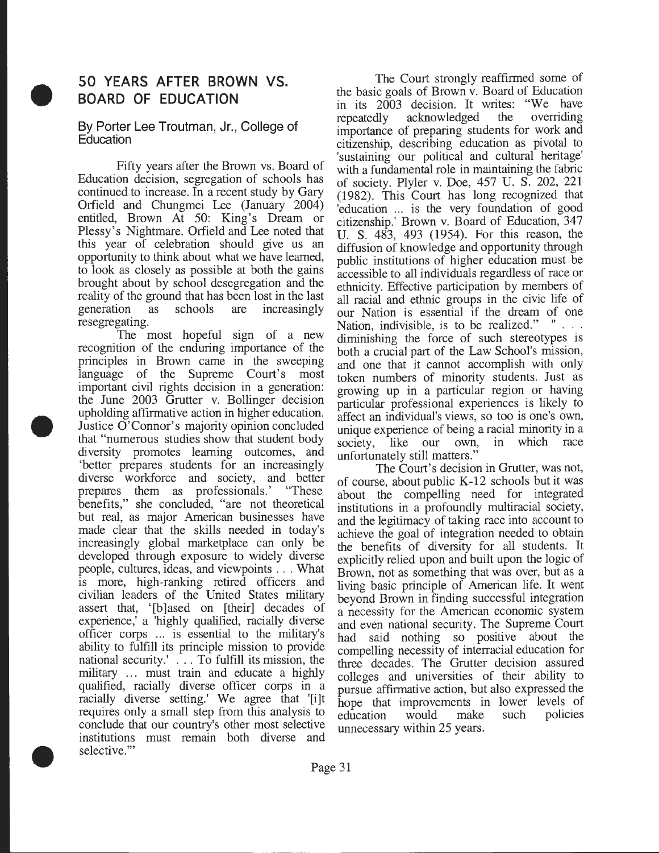## **50 YEARS AFTER BROWN VS. BOARD OF EDUCATION**

# • **By Porter Lee Troutman, Jr., College of Education**

Fifty years after the Brown vs. Board of Education decision, segregation of schools has continued to increase. In a recent study by Gary Orfield and Chungmei Lee (January 2004) entitled, Brown At 50: King's Dream or Plessy's Nightmare. Orfield and Lee noted that this year of celebration should give us an opportunity to think about what we have learned, to look as closely as possible at both the gains brought about by school desegregation and the reality of the ground that has been lost in the last<br>generation as schools are increasingly generation as schools are increasingly resegregating.

• • The most hopeful sign of a new recognition of the enduring importance of the principles in Brown came in the sweeping language of the Supreme Court's most important civil rights decision in a generation: the June 2003 Grutter v. Bollinger decision upholding affirmative action in higher education. Justice O'Connor's majority opinion concluded that "numerous studies show that student body diversity promotes learning outcomes, and 'better prepares students for an increasingly diverse workforce and society, and better prepares them as professionals.' "These benefits," she concluded, "are not theoretical but real, as major American businesses have made clear that the skills needed in today's increasingly global marketplace can only be developed through exposure to widely diverse people, cultures, ideas, and viewpoints . . . What is more, high-ranking retired officers and civilian leaders of the United States military assert that, '[b] ased on [their] decades of experience,' a 'highly qualified, racially diverse officer corps ... is essential to the military's ability to fulfill its principle mission to provide national security.' ... To fulfill its mission, the military ... must train and educate a highly qualified, racially diverse officer corps in a racially diverse setting.' We agree that '[i]t requires only a small step from this analysis to conclude that our country's other most selective institutions must remain both diverse and selective.'"

The Court strongly reaffirmed some of the basic goals of Brown v. Board of Education in its 2003 decision. It writes: "We have repeatedly acknowledged the overriding importance of preparing students for work and citizenship, describing education as pivotal to 'sustaining our political and cultural heritage' with a fundamental role in maintaining the fabric of society. Plyler v. Doe, 457 U. S. 202, 221  $(1982)$ . This Court has long recognized that 'education ... is the very foundation of good citizenship.' Brown v. Board of Education, 347 U. S. 483, 493 (1954). For this reason, the diffusion of knowledge and opportunity through public institutions of higher education must be accessible to all individuals regardless of race or ethnicity. Effective participation by members of all racial and ethnic groups in the civic life of our Nation is essential if the dream of one Nation, indivisible, is to be realized." " . . . diminishing the force of such stereotypes is both a crucial part of the Law School's mission, and one that it cannot accomplish with only token numbers of minority students. Just as growing up in a particular region or having particular professional experiences is likely to affect an individual's views, so too is one's own, unique experience of being a racial minority in a society, like our own, in which race unfortunately still matters."

The Court's decision in Grutter, was not, of course, about public  $K-12$  schools but it was about the compelling need for integrated institutions in a profoundly multiracial society, and the legitimacy of taking race into account to achieve the goal of integration needed to obtam the benefits of diversity for all students. It explicitly relied upon and built upon the logic of Brown, not as something that was over, but as a living basic principle of American life. It went beyond Brown in finding successful integration a necessity for the Amencan economic system and even national security. The Supreme Court had said nothing so positive about the compelling necessity of interracial education for three decades. The Grutter decision assured colleges and universities of their ability to pursue affirmative action, but also expressed the hope that improvements in lower levels of education would make such policies unnecessary within 25 years.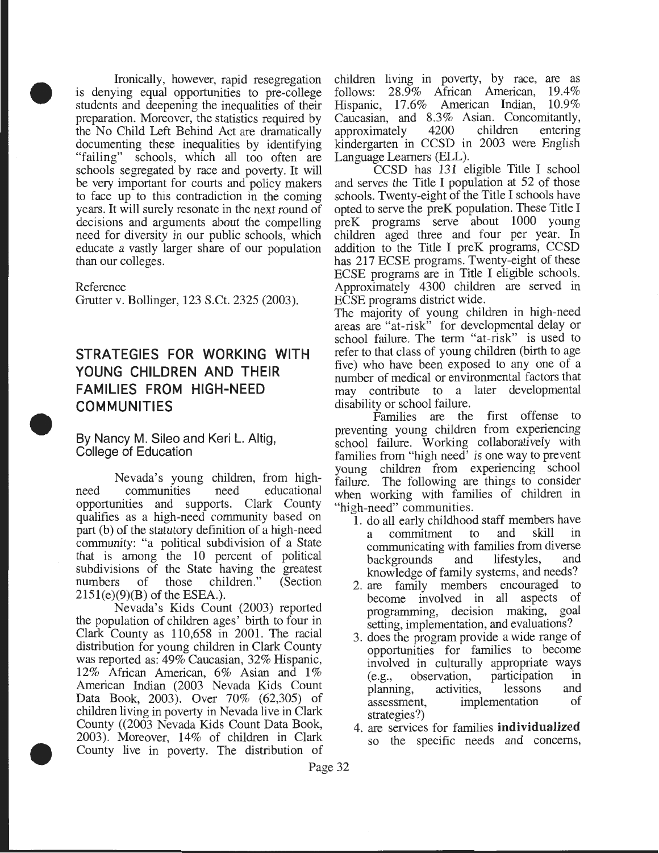$\begin{array}{c} \bullet \\ \bullet \\ \bullet \\ \bullet \\ \bullet \end{array}$ Ironically, however, rapid resegregation is denying equal opportunities to pre-college students and deepening the inequalities of their preparation. Moreover, the statistics required by the No Child Left Behind Act are dramatically documenting these inequalities by identifying "failing" schools, which all too often are schools segregated by race and poverty. It will be very important for courts and policy makers to face up to this contradiction in the coming years. It will surely resonate in the next round of decisions and arguments about the compelling need for diversity in our public schools, which educate a vastly larger share of our population than our colleges.

Reference

Grutter v. Bollinger, 123 S.Ct. 2325 (2003).

## • **STRATEGIES FOR WORKING WITH YOUNG CHILDREN AND THEIR FAMILIES FROM HIGH-NEED COMMUNITIES**

By Nancy M. Sileo and Keri L. Altig, College of Education

Nevada's young children, from highneed communities need educational opportunities and supports. Clark County qualifies as a high-need community based on part (b) of the statutory definition of a high-need community: "a political subdivision of a State that is among the 10 percent of political subdivisions of the State having the greatest numbers of those children." (Section  $2151(e)(9)(B)$  of the ESEA.).

• Nevada's Kids Count (2003) reported the population of children ages' birth to four in Clark County as 110,658 in 2001. The racial distribution for young children in Clark County was reported as: 49% Caucasian, 32% Hispanic, 12% African American, 6% Asian and 1% American Indian (2003 Nevada Kids Count Data Book, 2003). Over 70% (62,305) of children living in poverty in Nevada live in Clark County ((2003 Nevada Kids Count Data Book, 2003). Moreover, 14% of children in Clark County live in poverty. The distribution of

children living in poverty, by race, are as follows: 28.9% African American, 19.4% Hispanic, 17.6% American Indian, 10.9% Caucasian, and 8.3% Asian. Concomitantly,<br>approximately 4200 children entering approximately kindergarten in CCSD in 2003 were English Language Learners (ELL).

CCSD has 131 eligible Title I school and serves the Title I population at 52 of those schools. Twenty-eight of the Title I schools have opted to serve the preK population. These Title I preK programs serve about 1000 young children aged three and four per year. In addition to the Title I preK programs, CCSD has 217 ECSE programs. Twenty-eight of these ECSE programs are in Title I eligible schools. Approximately 4300 children are served in ECSE programs district wide.

The majority of young children in high-need areas are "at-risk" for developmental delay or school failure. The term "at-risk" is used to refer to that class of young children (birth to age five) who have been exposed to any one of a number of medical or environmental factors that may contribute to a later developmental disability or school failure.

Families are the first offense to preventing young children from experiencing school failure. Working collaboratively with families from "high need' is one way to prevent young children from experiencing school failure. The following are things to consider when working with families of children in "high-need" communities.

- 1. do all early childhood staff members have<br>a commitment to and skill in commitment to communicating with families from diverse backgrounds and lifestyles, and knowledge of family systems, and needs?
- 2. are family members encouraged to become involved in all aspects of programming, decision making, goal setting, implementation, and evaluations?
- 3. does the program provide a wide range of opportunities for families to become involved in culturally appropriate ways (e.g., observation, participation in planning, activities, lessons and<br>assessment. implementation of assessment, implementation strategies?)
- 4. are services for families **individualized**  so the specific needs and concerns,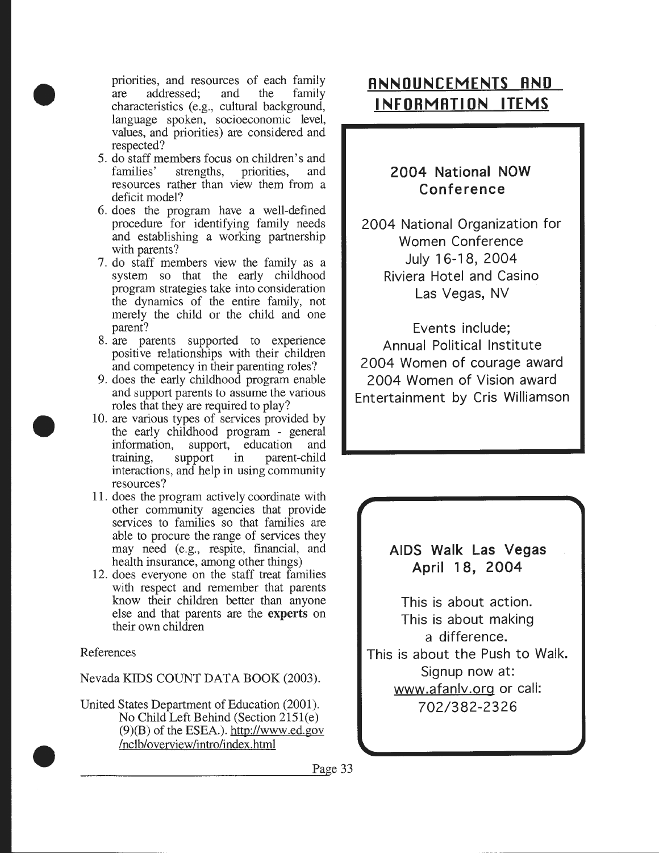priorities, and resources of each family are addressed; and the family characteristics (e.g., cultural background, language spoken, socioeconomic level, values, and priorities) are considered and respected?

- 5. do staff members focus on children's and<br>families' strengths, priorities, and strengths, resources rather than view them from a deficit model?
- 6. does the program have a well-defined procedure for identifying family needs and establishing a working partnership with parents?
- 7. do staff members view the family as a system so that the early childhood program strategies take into consideration the dynamics of the entire family, not merely the child or the child and one parent?
- 8. are parents supported to experience positive relationships with their children and competency in their parenting roles?
- 9. does the early childhood program enable and support parents to assume the various roles that they are required to play?
- 10. are various types of services provided by the early childhood program - general information, support, education and<br>training, support in parent-child in parent-child interactions, and help in using community resources?
- 11. does the program actively coordinate with other community agencies that provide services to families so that families are able to procure the range of services they may need (e.g., respite, financial, and health insurance, among other things)
- 12. does everyone on the staff treat families with respect and remember that parents know their children better than anyone else and that parents are the experts on their own children

#### References

•

•

Nevada KIDS COUNT DATA BOOK (2003).

• United States Department of Education (2001). No Child Left Behind (Section 2151(e) (9)(B) of the ESEA.). http://www.ed.gov /nclb/overview/intro/index.html

## **ANNOUNCEMENTS AND INFORMATION ITEMS**

## **2004 National NOW Conference**

2004 National Organization for Women Conference July 16-18, 2004 Riviera Hotel and Casino Las Vegas, NV

Events include; Annual Political Institute 2004 Women of courage award 2004 Women of Vision award Entertainment by Cris Williamson

## **AIDS Walk Las Vegas April 1 8, 2004**

This is about action. This is about making a difference. This is about the Push to Walk. Signup now at: www.afanlv.org or call: 702/382-2326

Page 33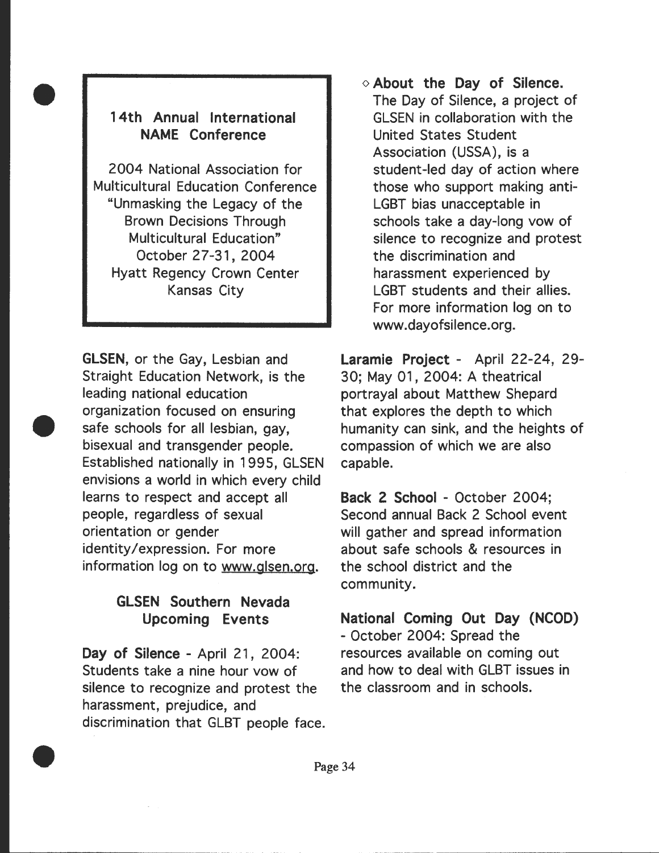## **14th Annual International NAME Conference**

•

•

•

2004 National Association for Multicultural Education Conference "Unmasking the Legacy of the Brown Decisions Through Multicultural Education" October 27-31, 2004 Hyatt Regency Crown Center Kansas City

**GLSEN,** or the Gay, Lesbian and Straight Education Network, is the leading national education organization focused on ensuring safe schools for all lesbian, gay, bisexual and transgender people. Established nationally in 1995, GLSEN envisions a world in which every child learns to respect and accept all people, regardless of sexual orientation or gender identity/expression. For more information log on to www.glsen.org.

## **GLSEN Southern Nevada Upcoming Events**

**Day of Silence** - April 21 , 2004: Students take a nine hour vow of silence to recognize and protest the harassment, prejudice, and discrimination that GLBT people face. o **About the Day of Silence .**  The Day of Silence, a project of GLSEN in collaboration with the United States Student Association (USSA), is a student-led day of action where those who support making anti-LGBT bias unacceptable in schools take a day-long vow of silence to recognize and protest the discrimination and harassment experienced by LGBT students and their allies. For more information log on to www.dayofsilence.org.

**Laramie Project** - April 22-24, 29- 30; May 01, 2004: A theatrical portrayal about Matthew Shepard that explores the depth to which humanity can sink, and the heights of compassion of which we are also capable.

**Back 2 School** - October 2004; Second annual Back 2 School event will gather and spread information about safe schools & resources in the school district and the community.

**National Coming Out Day (NCOD)**  - October 2004: Spread the resources available on coming out and how to deal with GLBT issues in the classroom and in schools.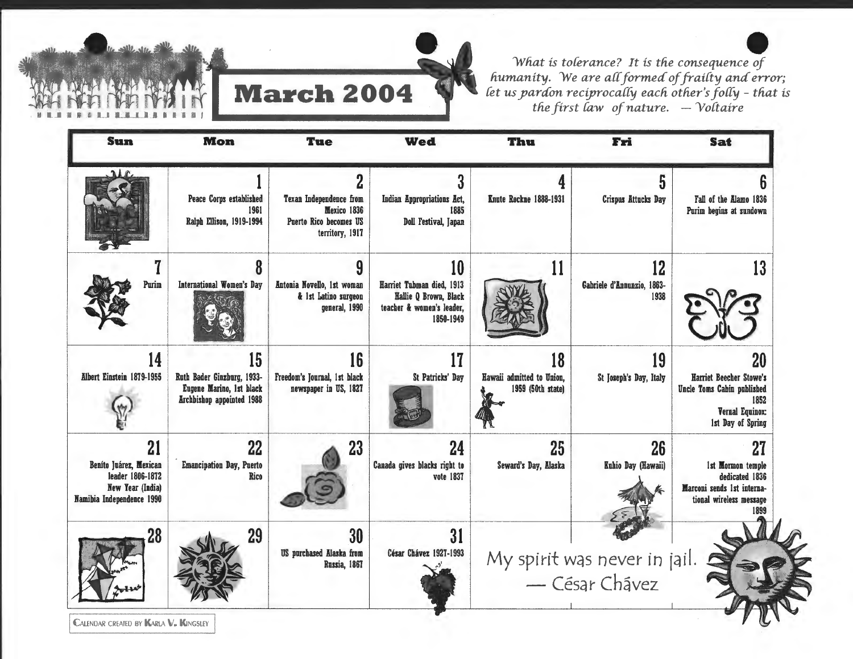

*What is tolerance? It is the consequence of humanity. We are a{{ formed of frai{ty and error; {et us yardon reciproca{{y each other's fo{{y* - *that is*  **the first law of nature.**  $\rightarrow$  *Yoltaire*  $\rightarrow$  *Yoltaire* 

| <b>Sun</b>                                                                                               | <b>Mon</b>                                                                                       | <b>Tue</b>                                                                               | <b>Wed</b>                                                                                         | Thu                                                  | Fri                                            | <b>Sat</b>                                                                                                         |
|----------------------------------------------------------------------------------------------------------|--------------------------------------------------------------------------------------------------|------------------------------------------------------------------------------------------|----------------------------------------------------------------------------------------------------|------------------------------------------------------|------------------------------------------------|--------------------------------------------------------------------------------------------------------------------|
| <b>AIR</b>                                                                                               | Peace Corps established<br>1961<br>Ralph Ellison, 1919-1994                                      | 2<br>Texan Independence from<br>Mexico 1836<br>Puerto Rico becomes US<br>territory, 1917 | 3<br>Indian Appropriations Act,<br>1885<br><b>Doll Festival, Japan</b>                             | Knute Rockne 1888-1931                               | 5<br><b>Crispus Attucks Day</b>                | Fall of the Alamo 1836<br>Purim begins at sundown                                                                  |
| Purim                                                                                                    | <b>International Women's Day</b>                                                                 | 9<br>Antonia Novello, 1st woman<br>& 1st Latino surgeon<br>general, 1990                 | 10<br>Harriet Tubman died, 1913<br>Hallie Q Brown, Black<br>teacher & women's leader,<br>1850-1949 | 11                                                   | 12<br>Gabriele d'Annunzio, 1863-<br>1938       | 13                                                                                                                 |
| 14<br><b>Albert Einstein 1879-1955</b>                                                                   | 15<br>Ruth Bader Ginzburg, 1933-<br>Eugene Marino, 1st black<br><b>Archbishop appointed 1988</b> | 16<br>Freedom's Journal, 1st black<br>newspaper in US, 1827                              | 17<br>St Patricks' Day                                                                             | 18<br>Hawaii admitted to Union,<br>1959 (50th state) | 19<br>St Joseph's Day, Italy                   | 20<br>Harriet Beecher Stowe's<br>Uncle Toms Cabin published<br>1852<br><b>Vernal Equinox:</b><br>1st Day of Spring |
| 21<br>Beníto Juárez, Mexican<br>leader 1806-1872<br><b>New Year (India)</b><br>Namibia Independence 1990 | 22<br><b>Emancipation Day, Puerto</b><br>Rico                                                    | 23                                                                                       | 24<br>Canada gives blacks right to<br>vote 1837                                                    | 25<br>Seward's Day, Alaska                           | 26<br>Kuhio Day (Hawaii)                       | 27<br>1st Mormon temple<br>dedicated 1836<br>Marconi sends 1st interna-<br>tional wireless message<br>1899         |
| 28                                                                                                       | 29                                                                                               | 30<br><b>US</b> purchased Alaska from<br>Russia, 1867                                    | 31<br>César Chávez 1927-1993                                                                       |                                                      | My spirit was never in jail.<br>- César Chavez |                                                                                                                    |

**LALENDAR CREATED BY** 

l II !IL l LJ LJLLI\_III II I I I I